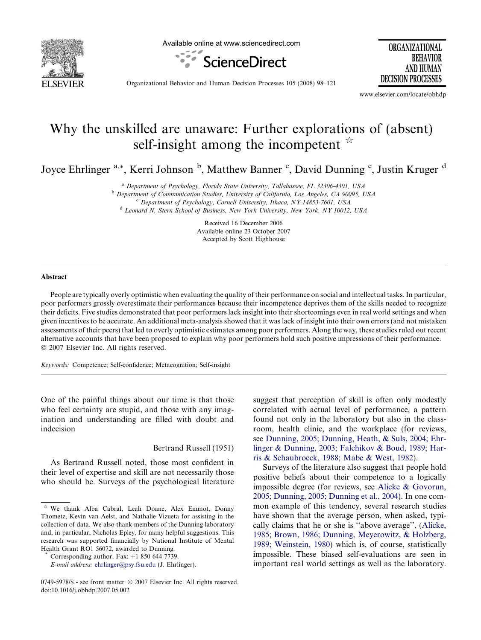

Available online at www.sciencedirect.com



ORGANIZATIONAL **BEHAVIOR** AND HUMAN **DECISION PROCESSES** 

Organizational Behavior and Human Decision Processes 105 (2008) 98–121

www.elsevier.com/locate/obhdp

# Why the unskilled are unaware: Further explorations of (absent) self-insight among the incompetent  $\dot{\alpha}$

Joyce Ehrlinger <sup>a,\*</sup>, Kerri Johnson <sup>b</sup>, Matthew Banner <sup>c</sup>, David Dunning <sup>c</sup>, Justin Kruger <sup>d</sup>

<sup>a</sup> Department of Psychology, Florida State University, Tallahassee, FL 32306-4301, USA

<sup>b</sup> Department of Communication Studies, University of California, Los Angeles, CA 90095, USA

 $c$  Department of Psychology, Cornell University, Ithaca, NY 14853-7601, USA

<sup>d</sup> Leonard N. Stern School of Business, New York University, New York, NY 10012, USA

Received 16 December 2006 Available online 23 October 2007 Accepted by Scott Highhouse

#### Abstract

People are typically overly optimistic when evaluating the quality of their performance on social and intellectual tasks. In particular, poor performers grossly overestimate their performances because their incompetence deprives them of the skills needed to recognize their deficits. Five studies demonstrated that poor performers lack insight into their shortcomings even in real world settings and when given incentives to be accurate. An additional meta-analysis showed that it was lack of insight into their own errors (and not mistaken assessments of their peers) that led to overly optimistic estimates among poor performers. Along the way, these studies ruled out recent alternative accounts that have been proposed to explain why poor performers hold such positive impressions of their performance.  $© 2007 Elsevier Inc. All rights reserved.$ 

Keywords: Competence; Self-confidence; Metacognition; Self-insight

One of the painful things about our time is that those who feel certainty are stupid, and those with any imagination and understanding are filled with doubt and indecision

Bertrand Russell (1951)

As Bertrand Russell noted, those most confident in their level of expertise and skill are not necessarily those who should be. Surveys of the psychological literature

Corresponding author. Fax:  $+1$  850 644 7739.

suggest that perception of skill is often only modestly correlated with actual level of performance, a pattern found not only in the laboratory but also in the classroom, health clinic, and the workplace (for reviews, see [Dunning, 2005; Dunning, Heath, & Suls, 2004; Ehr](#page-22-0)[linger & Dunning, 2003; Falchikov & Boud, 1989; Har](#page-22-0)[ris & Schaubroeck, 1988; Mabe & West, 1982\)](#page-22-0).

Surveys of the literature also suggest that people hold positive beliefs about their competence to a logically impossible degree (for reviews, see [Alicke & Govorun,](#page-21-0) [2005; Dunning, 2005; Dunning et al., 2004](#page-21-0)). In one common example of this tendency, several research studies have shown that the average person, when asked, typically claims that he or she is ''above average'', ([Alicke,](#page-21-0) [1985; Brown, 1986; Dunning, Meyerowitz, & Holzberg,](#page-21-0) [1989; Weinstein, 1980\)](#page-21-0) which is, of course, statistically impossible. These biased self-evaluations are seen in important real world settings as well as the laboratory.

We thank Alba Cabral, Leah Doane, Alex Emmot, Donny Thometz, Kevin van Aelst, and Nathalie Vizueta for assisting in the collection of data. We also thank members of the Dunning laboratory and, in particular, Nicholas Epley, for many helpful suggestions. This research was supported financially by National Institute of Mental Health Grant RO1 56072, awarded to Dunning.

E-mail address: [ehrlinger@psy.fsu.edu](mailto:ehrlinger@psy.fsu.edu) (J. Ehrlinger).

<sup>0749-5978/\$ -</sup> see front matter © 2007 Elsevier Inc. All rights reserved. doi:10.1016/j.obhdp.2007.05.002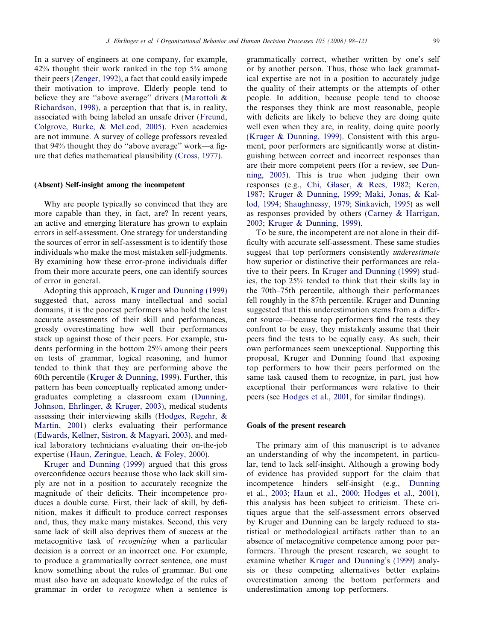In a survey of engineers at one company, for example, 42% thought their work ranked in the top 5% among their peers ([Zenger, 1992](#page-23-0)), a fact that could easily impede their motivation to improve. Elderly people tend to believe they are ''above average'' drivers [\(Marottoli &](#page-23-0) [Richardson, 1998](#page-23-0)), a perception that that is, in reality, associated with being labeled an unsafe driver ([Freund,](#page-22-0) [Colgrove, Burke, & McLeod, 2005](#page-22-0)). Even academics are not immune. A survey of college professors revealed that 94% thought they do ''above average'' work—a figure that defies mathematical plausibility [\(Cross, 1977](#page-22-0)).

## (Absent) Self-insight among the incompetent

Why are people typically so convinced that they are more capable than they, in fact, are? In recent years, an active and emerging literature has grown to explain errors in self-assessment. One strategy for understanding the sources of error in self-assessment is to identify those individuals who make the most mistaken self-judgments. By examining how these error-prone individuals differ from their more accurate peers, one can identify sources of error in general.

Adopting this approach, [Kruger and Dunning \(1999\)](#page-22-0) suggested that, across many intellectual and social domains, it is the poorest performers who hold the least accurate assessments of their skill and performances, grossly overestimating how well their performances stack up against those of their peers. For example, students performing in the bottom 25% among their peers on tests of grammar, logical reasoning, and humor tended to think that they are performing above the 60th percentile [\(Kruger & Dunning, 1999\)](#page-22-0). Further, this pattern has been conceptually replicated among undergraduates completing a classroom exam ([Dunning,](#page-22-0) [Johnson, Ehrlinger, & Kruger, 2003\)](#page-22-0), medical students assessing their interviewing skills ([Hodges, Regehr, &](#page-22-0) [Martin, 2001\)](#page-22-0) clerks evaluating their performance ([Edwards, Kellner, Sistron, & Magyari, 2003](#page-22-0)), and medical laboratory technicians evaluating their on-the-job expertise ([Haun, Zeringue, Leach, & Foley, 2000\)](#page-22-0).

[Kruger and Dunning \(1999\)](#page-22-0) argued that this gross overconfidence occurs because those who lack skill simply are not in a position to accurately recognize the magnitude of their deficits. Their incompetence produces a double curse. First, their lack of skill, by definition, makes it difficult to produce correct responses and, thus, they make many mistakes. Second, this very same lack of skill also deprives them of success at the metacognitive task of recognizing when a particular decision is a correct or an incorrect one. For example, to produce a grammatically correct sentence, one must know something about the rules of grammar. But one must also have an adequate knowledge of the rules of grammar in order to recognize when a sentence is grammatically correct, whether written by one's self or by another person. Thus, those who lack grammatical expertise are not in a position to accurately judge the quality of their attempts or the attempts of other people. In addition, because people tend to choose the responses they think are most reasonable, people with deficits are likely to believe they are doing quite well even when they are, in reality, doing quite poorly ([Kruger & Dunning, 1999](#page-22-0)). Consistent with this argument, poor performers are significantly worse at distinguishing between correct and incorrect responses than are their more competent peers (for a review, see [Dun](#page-22-0)[ning, 2005](#page-22-0)). This is true when judging their own responses (e.g., [Chi, Glaser, & Rees, 1982; Keren,](#page-22-0) [1987; Kruger & Dunning, 1999; Maki, Jonas, & Kal](#page-22-0)[lod, 1994; Shaughnessy, 1979; Sinkavich, 1995\)](#page-22-0) as well as responses provided by others [\(Carney & Harrigan,](#page-22-0) [2003; Kruger & Dunning, 1999](#page-22-0)).

To be sure, the incompetent are not alone in their difficulty with accurate self-assessment. These same studies suggest that top performers consistently *underestimate* how superior or distinctive their performances are relative to their peers. In [Kruger and Dunning \(1999\)](#page-22-0) studies, the top 25% tended to think that their skills lay in the 70th–75th percentile, although their performances fell roughly in the 87th percentile. Kruger and Dunning suggested that this underestimation stems from a different source—because top performers find the tests they confront to be easy, they mistakenly assume that their peers find the tests to be equally easy. As such, their own performances seem unexceptional. Supporting this proposal, Kruger and Dunning found that exposing top performers to how their peers performed on the same task caused them to recognize, in part, just how exceptional their performances were relative to their peers (see [Hodges et al., 2001](#page-22-0), for similar findings).

#### Goals of the present research

The primary aim of this manuscript is to advance an understanding of why the incompetent, in particular, tend to lack self-insight. Although a growing body of evidence has provided support for the claim that incompetence hinders self-insight (e.g., [Dunning](#page-22-0) [et al., 2003; Haun et al., 2000; Hodges et al., 2001\)](#page-22-0), this analysis has been subject to criticism. These critiques argue that the self-assessment errors observed by Kruger and Dunning can be largely reduced to statistical or methodological artifacts rather than to an absence of metacognitive competence among poor performers. Through the present research, we sought to examine whether [Kruger and Dunning's \(1999\)](#page-22-0) analysis or these competing alternatives better explains overestimation among the bottom performers and underestimation among top performers.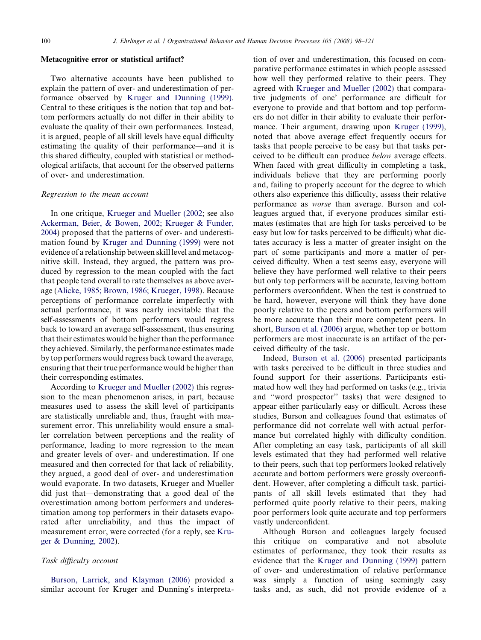## Metacognitive error or statistical artifact?

Two alternative accounts have been published to explain the pattern of over- and underestimation of performance observed by [Kruger and Dunning \(1999\)](#page-22-0). Central to these critiques is the notion that top and bottom performers actually do not differ in their ability to evaluate the quality of their own performances. Instead, it is argued, people of all skill levels have equal difficulty estimating the quality of their performance—and it is this shared difficulty, coupled with statistical or methodological artifacts, that account for the observed patterns of over- and underestimation.

## Regression to the mean account

In one critique, [Krueger and Mueller \(2002;](#page-22-0) see also [Ackerman, Beier, & Bowen, 2002; Krueger & Funder,](#page-21-0) [2004\)](#page-21-0) proposed that the patterns of over- and underestimation found by [Kruger and Dunning \(1999\)](#page-22-0) were not evidence of a relationship between skill level and metacognitive skill. Instead, they argued, the pattern was produced by regression to the mean coupled with the fact that people tend overall to rate themselves as above average ([Alicke, 1985; Brown, 1986; Krueger, 1998](#page-21-0)). Because perceptions of performance correlate imperfectly with actual performance, it was nearly inevitable that the self-assessments of bottom performers would regress back to toward an average self-assessment, thus ensuring that their estimates would be higher than the performance they achieved. Similarly, the performance estimates made by top performers would regress back toward the average, ensuring that their true performance would be higher than their corresponding estimates.

According to [Krueger and Mueller \(2002\)](#page-22-0) this regression to the mean phenomenon arises, in part, because measures used to assess the skill level of participants are statistically unreliable and, thus, fraught with measurement error. This unreliability would ensure a smaller correlation between perceptions and the reality of performance, leading to more regression to the mean and greater levels of over- and underestimation. If one measured and then corrected for that lack of reliability, they argued, a good deal of over- and underestimation would evaporate. In two datasets, Krueger and Mueller did just that—demonstrating that a good deal of the overestimation among bottom performers and underestimation among top performers in their datasets evaporated after unreliability, and thus the impact of measurement error, were corrected (for a reply, see [Kru](#page-22-0)[ger & Dunning, 2002](#page-22-0)).

#### Task difficulty account

[Burson, Larrick, and Klayman \(2006\)](#page-22-0) provided a similar account for Kruger and Dunning's interpreta-

tion of over and underestimation, this focused on comparative performance estimates in which people assessed how well they performed relative to their peers. They agreed with [Krueger and Mueller \(2002\)](#page-22-0) that comparative judgments of one' performance are difficult for everyone to provide and that bottom and top performers do not differ in their ability to evaluate their performance. Their argument, drawing upon [Kruger \(1999\)](#page-22-0), noted that above average effect frequently occurs for tasks that people perceive to be easy but that tasks perceived to be difficult can produce below average effects. When faced with great difficulty in completing a task, individuals believe that they are performing poorly and, failing to properly account for the degree to which others also experience this difficulty, assess their relative performance as worse than average. Burson and colleagues argued that, if everyone produces similar estimates (estimates that are high for tasks perceived to be easy but low for tasks perceived to be difficult) what dictates accuracy is less a matter of greater insight on the part of some participants and more a matter of perceived difficulty. When a test seems easy, everyone will believe they have performed well relative to their peers but only top performers will be accurate, leaving bottom performers overconfident. When the test is construed to be hard, however, everyone will think they have done poorly relative to the peers and bottom performers will be more accurate than their more competent peers. In short, [Burson et al. \(2006\)](#page-22-0) argue, whether top or bottom performers are most inaccurate is an artifact of the perceived difficulty of the task.

Indeed, [Burson et al. \(2006\)](#page-22-0) presented participants with tasks perceived to be difficult in three studies and found support for their assertions. Participants estimated how well they had performed on tasks (e.g., trivia and ''word prospector'' tasks) that were designed to appear either particularly easy or difficult. Across these studies, Burson and colleagues found that estimates of performance did not correlate well with actual performance but correlated highly with difficulty condition. After completing an easy task, participants of all skill levels estimated that they had performed well relative to their peers, such that top performers looked relatively accurate and bottom performers were grossly overconfident. However, after completing a difficult task, participants of all skill levels estimated that they had performed quite poorly relative to their peers, making poor performers look quite accurate and top performers vastly underconfident.

Although Burson and colleagues largely focused this critique on comparative and not absolute estimates of performance, they took their results as evidence that the [Kruger and Dunning \(1999\)](#page-22-0) pattern of over- and underestimation of relative performance was simply a function of using seemingly easy tasks and, as such, did not provide evidence of a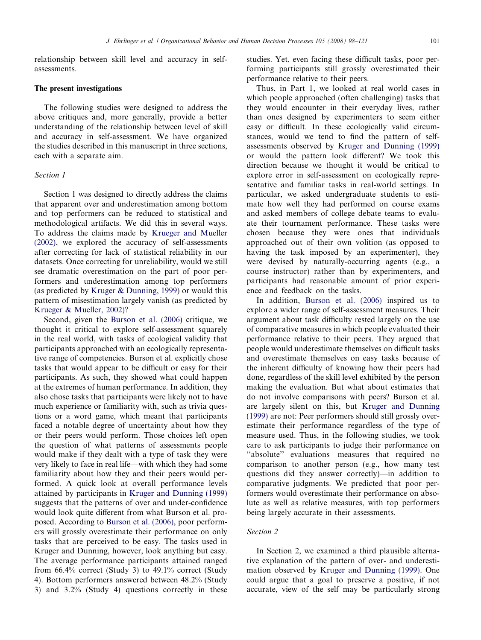relationship between skill level and accuracy in selfassessments.

#### The present investigations

The following studies were designed to address the above critiques and, more generally, provide a better understanding of the relationship between level of skill and accuracy in self-assessment. We have organized the studies described in this manuscript in three sections, each with a separate aim.

## Section 1

Section 1 was designed to directly address the claims that apparent over and underestimation among bottom and top performers can be reduced to statistical and methodological artifacts. We did this in several ways. To address the claims made by [Krueger and Mueller](#page-22-0) [\(2002\)](#page-22-0), we explored the accuracy of self-assessments after correcting for lack of statistical reliability in our datasets. Once correcting for unreliability, would we still see dramatic overestimation on the part of poor performers and underestimation among top performers (as predicted by [Kruger & Dunning, 1999](#page-22-0)) or would this pattern of misestimation largely vanish (as predicted by [Krueger & Mueller, 2002\)?](#page-22-0)

Second, given the [Burson et al. \(2006\)](#page-22-0) critique, we thought it critical to explore self-assessment squarely in the real world, with tasks of ecological validity that participants approached with an ecologically representative range of competencies. Burson et al. explicitly chose tasks that would appear to be difficult or easy for their participants. As such, they showed what could happen at the extremes of human performance. In addition, they also chose tasks that participants were likely not to have much experience or familiarity with, such as trivia questions or a word game, which meant that participants faced a notable degree of uncertainty about how they or their peers would perform. Those choices left open the question of what patterns of assessments people would make if they dealt with a type of task they were very likely to face in real life—with which they had some familiarity about how they and their peers would performed. A quick look at overall performance levels attained by participants in [Kruger and Dunning \(1999\)](#page-22-0) suggests that the patterns of over and under-confidence would look quite different from what Burson et al. proposed. According to [Burson et al. \(2006\)](#page-22-0), poor performers will grossly overestimate their performance on only tasks that are perceived to be easy. The tasks used in Kruger and Dunning, however, look anything but easy. The average performance participants attained ranged from 66.4% correct (Study 3) to 49.1% correct (Study 4). Bottom performers answered between 48.2% (Study 3) and 3.2% (Study 4) questions correctly in these studies. Yet, even facing these difficult tasks, poor performing participants still grossly overestimated their performance relative to their peers.

Thus, in Part 1, we looked at real world cases in which people approached (often challenging) tasks that they would encounter in their everyday lives, rather than ones designed by experimenters to seem either easy or difficult. In these ecologically valid circumstances, would we tend to find the pattern of selfassessments observed by [Kruger and Dunning \(1999\)](#page-22-0) or would the pattern look different? We took this direction because we thought it would be critical to explore error in self-assessment on ecologically representative and familiar tasks in real-world settings. In particular, we asked undergraduate students to estimate how well they had performed on course exams and asked members of college debate teams to evaluate their tournament performance. These tasks were chosen because they were ones that individuals approached out of their own volition (as opposed to having the task imposed by an experimenter), they were devised by naturally-occurring agents (e.g., a course instructor) rather than by experimenters, and participants had reasonable amount of prior experience and feedback on the tasks.

In addition, [Burson et al. \(2006\)](#page-22-0) inspired us to explore a wider range of self-assessment measures. Their argument about task difficulty rested largely on the use of comparative measures in which people evaluated their performance relative to their peers. They argued that people would underestimate themselves on difficult tasks and overestimate themselves on easy tasks because of the inherent difficulty of knowing how their peers had done, regardless of the skill level exhibited by the person making the evaluation. But what about estimates that do not involve comparisons with peers? Burson et al. are largely silent on this, but [Kruger and Dunning](#page-22-0) [\(1999\)](#page-22-0) are not: Peer performers should still grossly overestimate their performance regardless of the type of measure used. Thus, in the following studies, we took care to ask participants to judge their performance on ''absolute'' evaluations—measures that required no comparison to another person (e.g., how many test questions did they answer correctly)—in addition to comparative judgments. We predicted that poor performers would overestimate their performance on absolute as well as relative measures, with top performers being largely accurate in their assessments.

# Section 2

In Section 2, we examined a third plausible alternative explanation of the pattern of over- and underestimation observed by [Kruger and Dunning \(1999\)](#page-22-0). One could argue that a goal to preserve a positive, if not accurate, view of the self may be particularly strong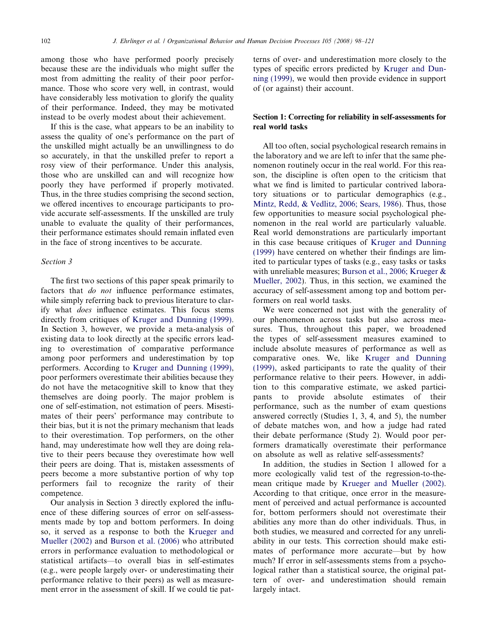among those who have performed poorly precisely because these are the individuals who might suffer the most from admitting the reality of their poor performance. Those who score very well, in contrast, would have considerably less motivation to glorify the quality of their performance. Indeed, they may be motivated instead to be overly modest about their achievement.

If this is the case, what appears to be an inability to assess the quality of one's performance on the part of the unskilled might actually be an unwillingness to do so accurately, in that the unskilled prefer to report a rosy view of their performance. Under this analysis, those who are unskilled can and will recognize how poorly they have performed if properly motivated. Thus, in the three studies comprising the second section, we offered incentives to encourage participants to provide accurate self-assessments. If the unskilled are truly unable to evaluate the quality of their performances, their performance estimates should remain inflated even in the face of strong incentives to be accurate.

## Section 3

The first two sections of this paper speak primarily to factors that do not influence performance estimates, while simply referring back to previous literature to clarify what does influence estimates. This focus stems directly from critiques of [Kruger and Dunning \(1999\)](#page-22-0). In Section 3, however, we provide a meta-analysis of existing data to look directly at the specific errors leading to overestimation of comparative performance among poor performers and underestimation by top performers. According to [Kruger and Dunning \(1999\)](#page-22-0), poor performers overestimate their abilities because they do not have the metacognitive skill to know that they themselves are doing poorly. The major problem is one of self-estimation, not estimation of peers. Misestimates of their peers' performance may contribute to their bias, but it is not the primary mechanism that leads to their overestimation. Top performers, on the other hand, may underestimate how well they are doing relative to their peers because they overestimate how well their peers are doing. That is, mistaken assessments of peers become a more substantive portion of why top performers fail to recognize the rarity of their competence.

Our analysis in Section 3 directly explored the influence of these differing sources of error on self-assessments made by top and bottom performers. In doing so, it served as a response to both the [Krueger and](#page-22-0) [Mueller \(2002\)](#page-22-0) and [Burson et al. \(2006\)](#page-22-0) who attributed errors in performance evaluation to methodological or statistical artifacts—to overall bias in self-estimates (e.g., were people largely over- or underestimating their performance relative to their peers) as well as measurement error in the assessment of skill. If we could tie patterns of over- and underestimation more closely to the types of specific errors predicted by [Kruger and Dun](#page-22-0)[ning \(1999\)](#page-22-0), we would then provide evidence in support of (or against) their account.

# Section 1: Correcting for reliability in self-assessments for real world tasks

All too often, social psychological research remains in the laboratory and we are left to infer that the same phenomenon routinely occur in the real world. For this reason, the discipline is often open to the criticism that what we find is limited to particular contrived laboratory situations or to particular demographics (e.g., [Mintz, Redd, & Vedlitz, 2006; Sears, 1986](#page-23-0)). Thus, those few opportunities to measure social psychological phenomenon in the real world are particularly valuable. Real world demonstrations are particularly important in this case because critiques of [Kruger and Dunning](#page-22-0) [\(1999\)](#page-22-0) have centered on whether their findings are limited to particular types of tasks (e.g., easy tasks or tasks with unreliable measures; [Burson et al., 2006; Krueger &](#page-22-0) [Mueller, 2002\)](#page-22-0). Thus, in this section, we examined the accuracy of self-assessment among top and bottom performers on real world tasks.

We were concerned not just with the generality of our phenomenon across tasks but also across measures. Thus, throughout this paper, we broadened the types of self-assessment measures examined to include absolute measures of performance as well as comparative ones. We, like [Kruger and Dunning](#page-22-0) [\(1999\)](#page-22-0), asked participants to rate the quality of their performance relative to their peers. However, in addition to this comparative estimate, we asked participants to provide absolute estimates of their performance, such as the number of exam questions answered correctly (Studies 1, 3, 4, and 5), the number of debate matches won, and how a judge had rated their debate performance (Study 2). Would poor performers dramatically overestimate their performance on absolute as well as relative self-assessments?

In addition, the studies in Section 1 allowed for a more ecologically valid test of the regression-to-themean critique made by [Krueger and Mueller \(2002\)](#page-22-0). According to that critique, once error in the measurement of perceived and actual performance is accounted for, bottom performers should not overestimate their abilities any more than do other individuals. Thus, in both studies, we measured and corrected for any unreliability in our tests. This correction should make estimates of performance more accurate—but by how much? If error in self-assessments stems from a psychological rather than a statistical source, the original pattern of over- and underestimation should remain largely intact.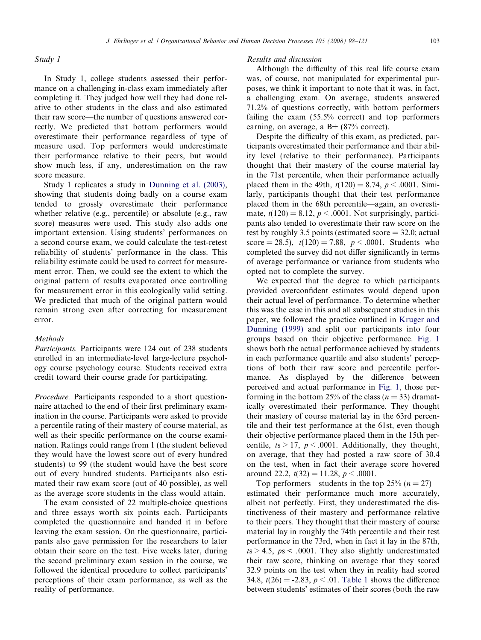## Study 1

In Study 1, college students assessed their performance on a challenging in-class exam immediately after completing it. They judged how well they had done relative to other students in the class and also estimated their raw score—the number of questions answered correctly. We predicted that bottom performers would overestimate their performance regardless of type of measure used. Top performers would underestimate their performance relative to their peers, but would show much less, if any, underestimation on the raw score measure.

Study 1 replicates a study in [Dunning et al. \(2003\),](#page-22-0) showing that students doing badly on a course exam tended to grossly overestimate their performance whether relative (e.g., percentile) or absolute (e.g., raw score) measures were used. This study also adds one important extension. Using students' performances on a second course exam, we could calculate the test-retest reliability of students' performance in the class. This reliability estimate could be used to correct for measurement error. Then, we could see the extent to which the original pattern of results evaporated once controlling for measurement error in this ecologically valid setting. We predicted that much of the original pattern would remain strong even after correcting for measurement error.

#### Methods

Participants. Participants were 124 out of 238 students enrolled in an intermediate-level large-lecture psychology course psychology course. Students received extra credit toward their course grade for participating.

Procedure. Participants responded to a short questionnaire attached to the end of their first preliminary examination in the course. Participants were asked to provide a percentile rating of their mastery of course material, as well as their specific performance on the course examination. Ratings could range from 1 (the student believed they would have the lowest score out of every hundred students) to 99 (the student would have the best score out of every hundred students. Participants also estimated their raw exam score (out of 40 possible), as well as the average score students in the class would attain.

The exam consisted of 22 multiple-choice questions and three essays worth six points each. Participants completed the questionnaire and handed it in before leaving the exam session. On the questionnaire, participants also gave permission for the researchers to later obtain their score on the test. Five weeks later, during the second preliminary exam session in the course, we followed the identical procedure to collect participants' perceptions of their exam performance, as well as the reality of performance.

#### Results and discussion

Although the difficulty of this real life course exam was, of course, not manipulated for experimental purposes, we think it important to note that it was, in fact, a challenging exam. On average, students answered 71.2% of questions correctly, with bottom performers failing the exam (55.5% correct) and top performers earning, on average, a  $B + (87\% \text{ correct})$ .

Despite the difficulty of this exam, as predicted, participants overestimated their performance and their ability level (relative to their performance). Participants thought that their mastery of the course material lay in the 71st percentile, when their performance actually placed them in the 49th,  $t(120) = 8.74$ ,  $p < .0001$ . Similarly, participants thought that their test performance placed them in the 68th percentile—again, an overestimate,  $t(120) = 8.12$ ,  $p < .0001$ . Not surprisingly, participants also tended to overestimate their raw score on the test by roughly 3.5 points (estimated score  $=$  32.0; actual score = 28.5),  $t(120) = 7.88$ ,  $p < .0001$ . Students who completed the survey did not differ significantly in terms of average performance or variance from students who opted not to complete the survey.

We expected that the degree to which participants provided overconfident estimates would depend upon their actual level of performance. To determine whether this was the case in this and all subsequent studies in this paper, we followed the practice outlined in [Kruger and](#page-22-0) [Dunning \(1999\)](#page-22-0) and split our participants into four groups based on their objective performance. [Fig. 1](#page-6-0) shows both the actual performance achieved by students in each performance quartile and also students' perceptions of both their raw score and percentile performance. As displayed by the difference between perceived and actual performance in [Fig. 1,](#page-6-0) those performing in the bottom 25% of the class ( $n = 33$ ) dramatically overestimated their performance. They thought their mastery of course material lay in the 63rd percentile and their test performance at the 61st, even though their objective performance placed them in the 15th percentile,  $ts > 17$ ,  $p < .0001$ . Additionally, they thought, on average, that they had posted a raw score of 30.4 on the test, when in fact their average score hovered around 22.2,  $t(32) = 11.28$ ,  $p < .0001$ .

Top performers—students in the top 25%  $(n = 27)$  estimated their performance much more accurately, albeit not perfectly. First, they underestimated the distinctiveness of their mastery and performance relative to their peers. They thought that their mastery of course material lay in roughly the 74th percentile and their test performance in the 73rd, when in fact it lay in the 87th,  $ts > 4.5$ ,  $ps < .0001$ . They also slightly underestimated their raw score, thinking on average that they scored 32.9 points on the test when they in reality had scored 34.8,  $t(26) = -2.83$ ,  $p < .01$ . [Table 1](#page-7-0) shows the difference between students' estimates of their scores (both the raw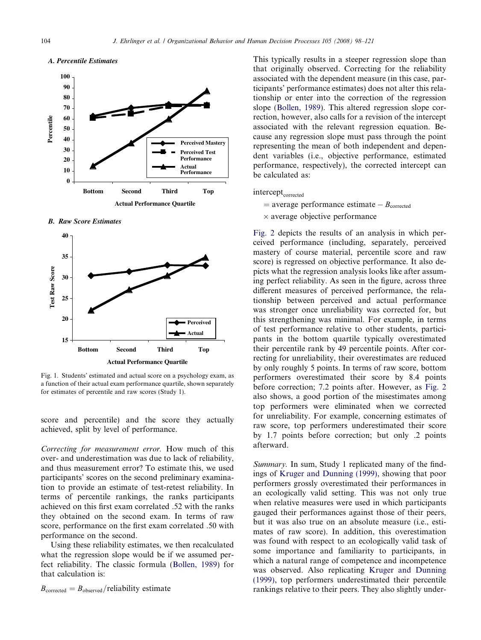

<span id="page-6-0"></span>*A. Percentile Estimates*

*B. Raw Score Estimates*



Fig. 1. Students' estimated and actual score on a psychology exam, as a function of their actual exam performance quartile, shown separately for estimates of percentile and raw scores (Study 1).

score and percentile) and the score they actually achieved, split by level of performance.

Correcting for measurement error. How much of this over- and underestimation was due to lack of reliability, and thus measurement error? To estimate this, we used participants' scores on the second preliminary examination to provide an estimate of test-retest reliability. In terms of percentile rankings, the ranks participants achieved on this first exam correlated .52 with the ranks they obtained on the second exam. In terms of raw score, performance on the first exam correlated .50 with performance on the second.

Using these reliability estimates, we then recalculated what the regression slope would be if we assumed perfect reliability. The classic formula ([Bollen, 1989\)](#page-22-0) for that calculation is:

 $B_{\text{corrected}} = B_{\text{observed}}/reliability$  estimate

This typically results in a steeper regression slope than that originally observed. Correcting for the reliability associated with the dependent measure (in this case, participants' performance estimates) does not alter this relationship or enter into the correction of the regression slope ([Bollen, 1989](#page-22-0)). This altered regression slope correction, however, also calls for a revision of the intercept associated with the relevant regression equation. Because any regression slope must pass through the point representing the mean of both independent and dependent variables (i.e., objective performance, estimated performance, respectively), the corrected intercept can be calculated as:

intercept<sub>corrected</sub>

- $=$  average performance estimate  $-B_{\text{corrected}}$
- $\times$  average objective performance

[Fig. 2](#page-8-0) depicts the results of an analysis in which perceived performance (including, separately, perceived mastery of course material, percentile score and raw score) is regressed on objective performance. It also depicts what the regression analysis looks like after assuming perfect reliability. As seen in the figure, across three different measures of perceived performance, the relationship between perceived and actual performance was stronger once unreliability was corrected for, but this strengthening was minimal. For example, in terms of test performance relative to other students, participants in the bottom quartile typically overestimated their percentile rank by 49 percentile points. After correcting for unreliability, their overestimates are reduced by only roughly 5 points. In terms of raw score, bottom performers overestimated their score by 8.4 points before correction; 7.2 points after. However, as [Fig. 2](#page-8-0) also shows, a good portion of the misestimates among top performers were eliminated when we corrected for unreliability. For example, concerning estimates of raw score, top performers underestimated their score by 1.7 points before correction; but only .2 points afterward.

Summary. In sum, Study 1 replicated many of the findings of [Kruger and Dunning \(1999\)](#page-22-0), showing that poor performers grossly overestimated their performances in an ecologically valid setting. This was not only true when relative measures were used in which participants gauged their performances against those of their peers, but it was also true on an absolute measure (i.e., estimates of raw score). In addition, this overestimation was found with respect to an ecologically valid task of some importance and familiarity to participants, in which a natural range of competence and incompetence was observed. Also replicating [Kruger and Dunning](#page-22-0) [\(1999\)](#page-22-0), top performers underestimated their percentile rankings relative to their peers. They also slightly under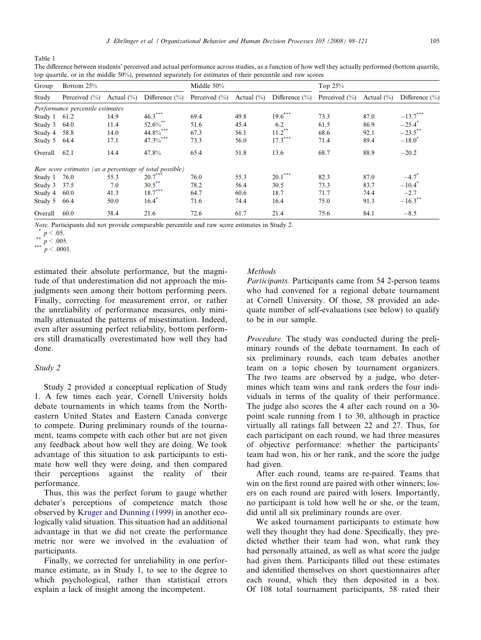<span id="page-7-0"></span>Table 1

| $G_{\text{round}}$ Rottom $25\%$ | Middle $50\%$                                                                                                                                         | $Tan 25\%$ |  |
|----------------------------------|-------------------------------------------------------------------------------------------------------------------------------------------------------|------------|--|
|                                  | top quartile, or in the middle 50%), presented separately for estimates of their percentile and raw scores                                            |            |  |
|                                  | The difference between students' perceived and actual performance across studies, as a function of how well they actually performed (bottom quartile, |            |  |

| Group   | Bottom $25%$                     |                |                                                         | Middle $50%$      |                |                    | Top $25%$         |                |                      |
|---------|----------------------------------|----------------|---------------------------------------------------------|-------------------|----------------|--------------------|-------------------|----------------|----------------------|
| Study   | Perceived $(\% )$                | Actual $(\% )$ | Difference $(\% )$                                      | Perceived $(\% )$ | Actual $(\% )$ | Difference $(\% )$ | Perceived $(\% )$ | Actual $(\% )$ | Difference $(\% )$   |
|         | Performance percentile estimates |                |                                                         |                   |                |                    |                   |                |                      |
| Study 1 | 61.2                             | 14.9           | $46.3***$                                               | 69.4              | 49.8           | $19.6***$          | 73.3              | 87.0           | $-13.7***$           |
| Study 3 | 64.0                             | 11.4           | 52.6%**                                                 | 51.6              | 45.4           | 6.2                | 61.5              | 86.9           | $-25.4$              |
| Study 4 | 58.8                             | 14.0           | 44.8%***                                                | 67.3              | 56.1           | $11.2***$          | 68.6              | 92.1           | $-23.5$ **           |
| Study 5 | 64.4                             | 17.1           | 47.3%***                                                | 73.3              | 56.0           | $17.3***$          | 71.4              | 89.4           | $-18.0$ <sup>*</sup> |
| Overall | 62.1                             | 14.4           | 47.8%                                                   | 65.4              | 51.8           | 13.6               | 68.7              | 88.9           | $-20.2$              |
|         |                                  |                | Raw score estimates (as a percentage of total possible) |                   |                |                    |                   |                |                      |
| Study 1 | 76.0                             | 55.3           | $20.7***$                                               | 76.0              | 55.3           | $20.1***$          | 82.3              | 87.0           | $-4.7$ <sup>*</sup>  |
| Study 3 | 37.5                             | 7.0            | $30.5$ **                                               | 78.2              | 56.4           | 30.5               | 73.3              | 83.7           | $-10.4^{\degree}$    |
| Study 4 | 60.0                             | 41.3           | $18.7***$                                               | 64.7              | 60.6           | 18.7               | 71.7              | 74.4           | $-2.7$               |
| Study 5 | 66.4                             | 50.0           | $16.4^{\degree}$                                        | 71.6              | 74.4           | 16.4               | 75.0              | 91.3           | $-16.3$ **           |
| Overall | 60.0                             | 38.4           | 21.6                                                    | 72.6              | 61.7           | 21.4               | 75.6              | 84.1           | $-8.5$               |

*Note.* Participants did not provide comparable percentile and raw score estimates in Study 2.  $p < .05$ .

estimated their absolute performance, but the magnitude of that underestimation did not approach the misjudgments seen among their bottom performing peers. Finally, correcting for measurement error, or rather the unreliability of performance measures, only minimally attenuated the patterns of misestimation. Indeed, even after assuming perfect reliability, bottom performers still dramatically overestimated how well they had done.

# Study 2

Study 2 provided a conceptual replication of Study 1. A few times each year, Cornell University holds debate tournaments in which teams from the Northeastern United States and Eastern Canada converge to compete. During preliminary rounds of the tournament, teams compete with each other but are not given any feedback about how well they are doing. We took advantage of this situation to ask participants to estimate how well they were doing, and then compared their perceptions against the reality of their performance.

Thus, this was the perfect forum to gauge whether debater's perceptions of competence match those observed by [Kruger and Dunning \(1999\)](#page-22-0) in another ecologically valid situation. This situation had an additional advantage in that we did not create the performance metric nor were we involved in the evaluation of participants.

Finally, we corrected for unreliability in one performance estimate, as in Study 1, to see to the degree to which psychological, rather than statistical errors explain a lack of insight among the incompetent.

# Methods

Participants. Participants came from 54 2-person teams who had convened for a regional debate tournament at Cornell University. Of those, 58 provided an adequate number of self-evaluations (see below) to qualify to be in our sample.

Procedure. The study was conducted during the preliminary rounds of the debate tournament. In each of six preliminary rounds, each team debates another team on a topic chosen by tournament organizers. The two teams are observed by a judge, who determines which team wins and rank orders the four individuals in terms of the quality of their performance. The judge also scores the 4 after each round on a 30 point scale running from 1 to 30, although in practice virtually all ratings fall between 22 and 27. Thus, for each participant on each round, we had three measures of objective performance: whether the participants' team had won, his or her rank, and the score the judge had given.

After each round, teams are re-paired. Teams that win on the first round are paired with other winners; losers on each round are paired with losers. Importantly, no participant is told how well he or she, or the team, did until all six preliminary rounds are over.

We asked tournament participants to estimate how well they thought they had done. Specifically, they predicted whether their team had won, what rank they had personally attained, as well as what score the judge had given them. Participants filled out these estimates and identified themselves on short questionnaires after each round, which they then deposited in a box. Of 108 total tournament participants, 58 rated their

<sup>\*\*</sup>  $p < .005$ .

 $p < .0001$ .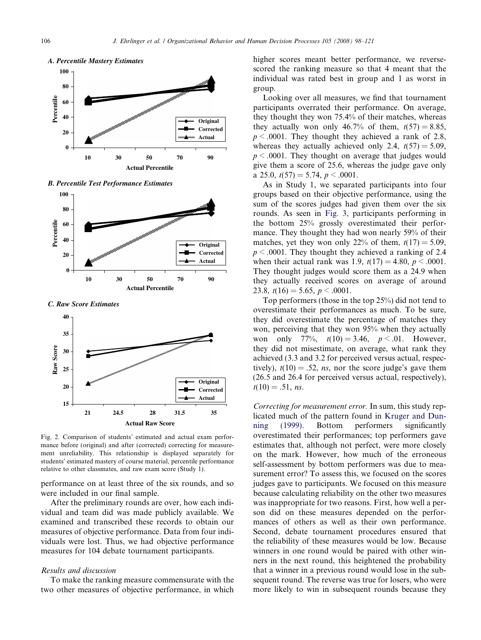

<span id="page-8-0"></span>*A. Percentile Mastery Estimates*





*C. Raw Score Estimates*



Fig. 2. Comparison of students' estimated and actual exam performance before (original) and after (corrected) correcting for measurement unreliability. This relationship is displayed separately for students' estimated mastery of course material, percentile performance relative to other classmates, and raw exam score (Study 1).

performance on at least three of the six rounds, and so were included in our final sample.

After the preliminary rounds are over, how each individual and team did was made publicly available. We examined and transcribed these records to obtain our measures of objective performance. Data from four individuals were lost. Thus, we had objective performance measures for 104 debate tournament participants.

## Results and discussion

To make the ranking measure commensurate with the two other measures of objective performance, in which higher scores meant better performance, we reversescored the ranking measure so that 4 meant that the individual was rated best in group and 1 as worst in group.

Looking over all measures, we find that tournament participants overrated their performance. On average, they thought they won 75.4% of their matches, whereas they actually won only 46.7% of them,  $t(57) = 8.85$ ,  $p < .0001$ . They thought they achieved a rank of 2.8, whereas they actually achieved only 2.4,  $t(57) = 5.09$ ,  $p \leq 0.0001$ . They thought on average that judges would give them a score of 25.6, whereas the judge gave only a 25.0,  $t(57) = 5.74$ ,  $p < .0001$ .

As in Study 1, we separated participants into four groups based on their objective performance, using the sum of the scores judges had given them over the six rounds. As seen in [Fig. 3](#page-9-0), participants performing in the bottom 25% grossly overestimated their performance. They thought they had won nearly 59% of their matches, yet they won only 22% of them,  $t(17) = 5.09$ ,  $p < .0001$ . They thought they achieved a ranking of 2.4 when their actual rank was 1.9,  $t(17) = 4.80, p \le 0.0001$ . They thought judges would score them as a 24.9 when they actually received scores on average of around 23.8,  $t(16) = 5.65$ ,  $p < .0001$ .

Top performers (those in the top 25%) did not tend to overestimate their performances as much. To be sure, they did overestimate the percentage of matches they won, perceiving that they won 95% when they actually won only 77%,  $t(10) = 3.46$ ,  $p < .01$ . However, they did not misestimate, on average, what rank they achieved (3.3 and 3.2 for perceived versus actual, respectively),  $t(10) = .52$ , *ns*, nor the score judge's gave them (26.5 and 26.4 for perceived versus actual, respectively),  $t(10) = .51$ , ns.

Correcting for measurement error. In sum, this study replicated much of the pattern found in [Kruger and Dun](#page-22-0)[ning \(1999\)](#page-22-0). Bottom performers significantly overestimated their performances; top performers gave estimates that, although not perfect, were more closely on the mark. However, how much of the erroneous self-assessment by bottom performers was due to measurement error? To assess this, we focused on the scores judges gave to participants. We focused on this measure because calculating reliability on the other two measures was inappropriate for two reasons. First, how well a person did on these measures depended on the performances of others as well as their own performance. Second, debate tournament procedures ensured that the reliability of these measures would be low. Because winners in one round would be paired with other winners in the next round, this heightened the probability that a winner in a previous round would lose in the subsequent round. The reverse was true for losers, who were more likely to win in subsequent rounds because they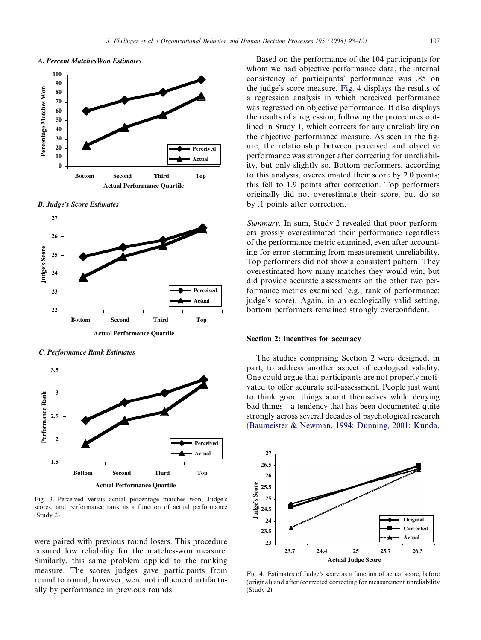#### <span id="page-9-0"></span>*A. Percent MatchesWon Estimates*



*B. Judge s Score Estimates*



*C. Performance Rank Estimates*



Fig. 3. Perceived versus actual percentage matches won, Judge's scores, and performance rank as a function of actual performance (Study 2).

were paired with previous round losers. This procedure ensured low reliability for the matches-won measure. Similarly, this same problem applied to the ranking measure. The scores judges gave participants from round to round, however, were not influenced artifactually by performance in previous rounds.

Based on the performance of the 104 participants for whom we had objective performance data, the internal consistency of participants' performance was .85 on the judge's score measure. Fig. 4 displays the results of a regression analysis in which perceived performance was regressed on objective performance. It also displays the results of a regression, following the procedures outlined in Study 1, which corrects for any unreliability on the objective performance measure. As seen in the figure, the relationship between perceived and objective performance was stronger after correcting for unreliability, but only slightly so. Bottom performers, according to this analysis, overestimated their score by 2.0 points; this fell to 1.9 points after correction. Top performers originally did not overestimate their score, but do so by .1 points after correction.

Summary. In sum, Study 2 revealed that poor performers grossly overestimated their performance regardless of the performance metric examined, even after accounting for error stemming from measurement unreliability. Top performers did not show a consistent pattern. They overestimated how many matches they would win, but did provide accurate assessments on the other two performance metrics examined (e.g., rank of performance; judge's score). Again, in an ecologically valid setting, bottom performers remained strongly overconfident.

#### Section 2: Incentives for accuracy

The studies comprising Section 2 were designed, in part, to address another aspect of ecological validity. One could argue that participants are not properly motivated to offer accurate self-assessment. People just want to think good things about themselves while denying bad things—a tendency that has been documented quite strongly across several decades of psychological research ([Baumeister & Newman, 1994; Dunning, 2001; Kunda,](#page-22-0)



Fig. 4. Estimates of Judge's score as a function of actual score, before (original) and after (corrected correcting for measurement unreliability (Study 2).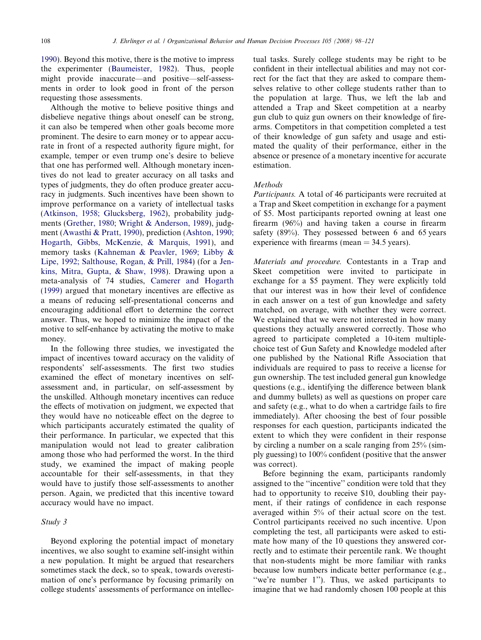[1990\)](#page-22-0). Beyond this motive, there is the motive to impress the experimenter ([Baumeister, 1982](#page-22-0)). Thus, people might provide inaccurate—and positive—self-assessments in order to look good in front of the person requesting those assessments.

Although the motive to believe positive things and disbelieve negative things about oneself can be strong, it can also be tempered when other goals become more prominent. The desire to earn money or to appear accurate in front of a respected authority figure might, for example, temper or even trump one's desire to believe that one has performed well. Although monetary incentives do not lead to greater accuracy on all tasks and types of judgments, they do often produce greater accuracy in judgments. Such incentives have been shown to improve performance on a variety of intellectual tasks ([Atkinson, 1958; Glucksberg, 1962\)](#page-22-0), probability judgments [\(Grether, 1980; Wright & Anderson, 1989\)](#page-22-0), judgment ([Awasthi & Pratt, 1990\)](#page-22-0), prediction [\(Ashton, 1990;](#page-22-0) [Hogarth, Gibbs, McKenzie, & Marquis, 1991\)](#page-22-0), and memory tasks [\(Kahneman & Peavler, 1969; Libby &](#page-22-0) [Lipe, 1992; Salthouse, Rogan, & Prill, 1984](#page-22-0)) (for a [Jen](#page-22-0)[kins, Mitra, Gupta, & Shaw, 1998](#page-22-0)). Drawing upon a meta-analysis of 74 studies, [Camerer and Hogarth](#page-22-0) [\(1999\)](#page-22-0) argued that monetary incentives are effective as a means of reducing self-presentational concerns and encouraging additional effort to determine the correct answer. Thus, we hoped to minimize the impact of the motive to self-enhance by activating the motive to make money.

In the following three studies, we investigated the impact of incentives toward accuracy on the validity of respondents' self-assessments. The first two studies examined the effect of monetary incentives on selfassessment and, in particular, on self-assessment by the unskilled. Although monetary incentives can reduce the effects of motivation on judgment, we expected that they would have no noticeable effect on the degree to which participants accurately estimated the quality of their performance. In particular, we expected that this manipulation would not lead to greater calibration among those who had performed the worst. In the third study, we examined the impact of making people accountable for their self-assessments, in that they would have to justify those self-assessments to another person. Again, we predicted that this incentive toward accuracy would have no impact.

## Study 3

Beyond exploring the potential impact of monetary incentives, we also sought to examine self-insight within a new population. It might be argued that researchers sometimes stack the deck, so to speak, towards overestimation of one's performance by focusing primarily on college students' assessments of performance on intellectual tasks. Surely college students may be right to be confident in their intellectual abilities and may not correct for the fact that they are asked to compare themselves relative to other college students rather than to the population at large. Thus, we left the lab and attended a Trap and Skeet competition at a nearby gun club to quiz gun owners on their knowledge of firearms. Competitors in that competition completed a test of their knowledge of gun safety and usage and estimated the quality of their performance, either in the absence or presence of a monetary incentive for accurate estimation.

# Methods

Participants. A total of 46 participants were recruited at a Trap and Skeet competition in exchange for a payment of \$5. Most participants reported owning at least one firearm (96%) and having taken a course in firearm safety (89%). They possessed between 6 and 65 years experience with firearms (mean  $=$  34.5 years).

Materials and procedure. Contestants in a Trap and Skeet competition were invited to participate in exchange for a \$5 payment. They were explicitly told that our interest was in how their level of confidence in each answer on a test of gun knowledge and safety matched, on average, with whether they were correct. We explained that we were not interested in how many questions they actually answered correctly. Those who agreed to participate completed a 10-item multiplechoice test of Gun Safety and Knowledge modeled after one published by the National Rifle Association that individuals are required to pass to receive a license for gun ownership. The test included general gun knowledge questions (e.g., identifying the difference between blank and dummy bullets) as well as questions on proper care and safety (e.g., what to do when a cartridge fails to fire immediately). After choosing the best of four possible responses for each question, participants indicated the extent to which they were confident in their response by circling a number on a scale ranging from 25% (simply guessing) to 100% confident (positive that the answer was correct).

Before beginning the exam, participants randomly assigned to the ''incentive'' condition were told that they had to opportunity to receive \$10, doubling their payment, if their ratings of confidence in each response averaged within 5% of their actual score on the test. Control participants received no such incentive. Upon completing the test, all participants were asked to estimate how many of the 10 questions they answered correctly and to estimate their percentile rank. We thought that non-students might be more familiar with ranks because low numbers indicate better performance (e.g., "we're number 1"). Thus, we asked participants to imagine that we had randomly chosen 100 people at this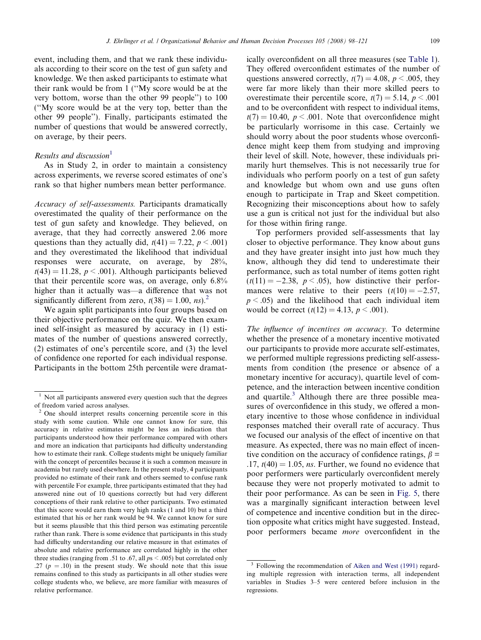event, including them, and that we rank these individuals according to their score on the test of gun safety and knowledge. We then asked participants to estimate what their rank would be from 1 (''My score would be at the very bottom, worse than the other 99 people'') to 100 (''My score would be at the very top, better than the other 99 people''). Finally, participants estimated the number of questions that would be answered correctly, on average, by their peers.

# Results and discussion $<sup>1</sup>$ </sup>

As in Study 2, in order to maintain a consistency across experiments, we reverse scored estimates of one's rank so that higher numbers mean better performance.

Accuracy of self-assessments. Participants dramatically overestimated the quality of their performance on the test of gun safety and knowledge. They believed, on average, that they had correctly answered 2.06 more questions than they actually did,  $t(41) = 7.22$ ,  $p < .001$ ) and they overestimated the likelihood that individual responses were accurate, on average, by 28%,  $t(43) = 11.28$ ,  $p < .001$ ). Although participants believed that their percentile score was, on average, only 6.8% higher than it actually was—a difference that was not significantly different from zero,  $t(38) = 1.00$ , ns).<sup>2</sup>

We again split participants into four groups based on their objective performance on the quiz. We then examined self-insight as measured by accuracy in (1) estimates of the number of questions answered correctly, (2) estimates of one's percentile score, and (3) the level of confidence one reported for each individual response. Participants in the bottom 25th percentile were dramatically overconfident on all three measures (see [Table 1\)](#page-7-0). They offered overconfident estimates of the number of questions answered correctly,  $t(7) = 4.08$ ,  $p \le 0.005$ , they were far more likely than their more skilled peers to overestimate their percentile score,  $t(7) = 5.14$ ,  $p \le 0.001$ and to be overconfident with respect to individual items,  $t(7) = 10.40$ ,  $p < .001$ . Note that overconfidence might be particularly worrisome in this case. Certainly we should worry about the poor students whose overconfidence might keep them from studying and improving their level of skill. Note, however, these individuals primarily hurt themselves. This is not necessarily true for individuals who perform poorly on a test of gun safety and knowledge but whom own and use guns often enough to participate in Trap and Skeet competition. Recognizing their misconceptions about how to safely use a gun is critical not just for the individual but also for those within firing range.

Top performers provided self-assessments that lay closer to objective performance. They know about guns and they have greater insight into just how much they know, although they did tend to underestimate their performance, such as total number of items gotten right  $(t(11) = -2.38, p \le 0.05)$ , how distinctive their performances were relative to their peers  $(t(10) = -2.57)$ ,  $p < .05$ ) and the likelihood that each individual item would be correct  $(t(12) = 4.13, p \le .001)$ .

The influence of incentives on accuracy. To determine whether the presence of a monetary incentive motivated our participants to provide more accurate self-estimates, we performed multiple regressions predicting self-assessments from condition (the presence or absence of a monetary incentive for accuracy), quartile level of competence, and the interaction between incentive condition and quartile. $3$  Although there are three possible measures of overconfidence in this study, we offered a monetary incentive to those whose confidence in individual responses matched their overall rate of accuracy. Thus we focused our analysis of the effect of incentive on that measure. As expected, there was no main effect of incentive condition on the accuracy of confidence ratings,  $\beta$  = .17,  $t(40) = 1.05$ , *ns*. Further, we found no evidence that poor performers were particularly overconfident merely because they were not properly motivated to admit to their poor performance. As can be seen in [Fig. 5](#page-12-0), there was a marginally significant interaction between level of competence and incentive condition but in the direction opposite what critics might have suggested. Instead, poor performers became more overconfident in the

<sup>1</sup> Not all participants answered every question such that the degrees of freedom varied across analyses.

<sup>2</sup> One should interpret results concerning percentile score in this study with some caution. While one cannot know for sure, this accuracy in relative estimates might be less an indication that participants understood how their performance compared with others and more an indication that participants had difficulty understanding how to estimate their rank. College students might be uniquely familiar with the concept of percentiles because it is such a common measure in academia but rarely used elsewhere. In the present study, 4 participants provided no estimate of their rank and others seemed to confuse rank with percentile For example, three participants estimated that they had answered nine out of 10 questions correctly but had very different conceptions of their rank relative to other participants. Two estimated that this score would earn them very high ranks (1 and 10) but a third estimated that his or her rank would be 94. We cannot know for sure but it seems plausible that this third person was estimating percentile rather than rank. There is some evidence that participants in this study had difficulty understanding our relative measure in that estimates of absolute and relative performance are correlated highly in the other three studies (ranging from .51 to .67, all  $ps < .005$ ) but correlated only .27 ( $p = .10$ ) in the present study. We should note that this issue remains confined to this study as participants in all other studies were college students who, we believe, are more familiar with measures of relative performance.

<sup>&</sup>lt;sup>3</sup> Following the recommendation of [Aiken and West \(1991\)](#page-21-0) regarding multiple regression with interaction terms, all independent variables in Studies 3–5 were centered before inclusion in the regressions.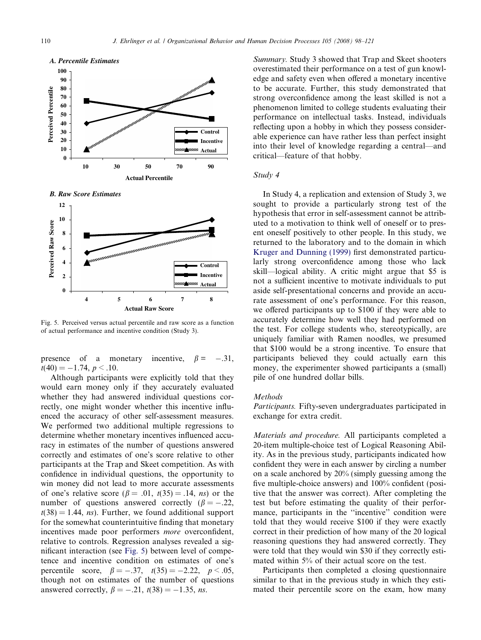<span id="page-12-0"></span>

Fig. 5. Perceived versus actual percentile and raw score as a function of actual performance and incentive condition (Study 3).

presence of a monetary incentive,  $\beta =$  $-.31,$  $t(40) = -1.74, p < .10.$ 

Although participants were explicitly told that they would earn money only if they accurately evaluated whether they had answered individual questions correctly, one might wonder whether this incentive influenced the accuracy of other self-assessment measures. We performed two additional multiple regressions to determine whether monetary incentives influenced accuracy in estimates of the number of questions answered correctly and estimates of one's score relative to other participants at the Trap and Skeet competition. As with confidence in individual questions, the opportunity to win money did not lead to more accurate assessments of one's relative score ( $\beta = .01$ ,  $t(35) = .14$ , ns) or the number of questions answered correctly ( $\beta = -.22$ ,  $t(38) = 1.44$ , ns). Further, we found additional support for the somewhat counterintuitive finding that monetary incentives made poor performers more overconfident, relative to controls. Regression analyses revealed a significant interaction (see Fig. 5) between level of competence and incentive condition on estimates of one's percentile score,  $\beta = -.37$ ,  $t(35) = -2.22$ ,  $p < .05$ , though not on estimates of the number of questions answered correctly,  $\beta = -.21$ ,  $t(38) = -1.35$ , ns.

Summary. Study 3 showed that Trap and Skeet shooters overestimated their performance on a test of gun knowledge and safety even when offered a monetary incentive to be accurate. Further, this study demonstrated that strong overconfidence among the least skilled is not a phenomenon limited to college students evaluating their performance on intellectual tasks. Instead, individuals reflecting upon a hobby in which they possess considerable experience can have rather less than perfect insight into their level of knowledge regarding a central—and critical—feature of that hobby.

## Study 4

In Study 4, a replication and extension of Study 3, we sought to provide a particularly strong test of the hypothesis that error in self-assessment cannot be attributed to a motivation to think well of oneself or to present oneself positively to other people. In this study, we returned to the laboratory and to the domain in which [Kruger and Dunning \(1999\)](#page-22-0) first demonstrated particularly strong overconfidence among those who lack skill—logical ability. A critic might argue that \$5 is not a sufficient incentive to motivate individuals to put aside self-presentational concerns and provide an accurate assessment of one's performance. For this reason, we offered participants up to \$100 if they were able to accurately determine how well they had performed on the test. For college students who, stereotypically, are uniquely familiar with Ramen noodles, we presumed that \$100 would be a strong incentive. To ensure that participants believed they could actually earn this money, the experimenter showed participants a (small) pile of one hundred dollar bills.

## Methods

Participants. Fifty-seven undergraduates participated in exchange for extra credit.

Materials and procedure. All participants completed a 20-item multiple-choice test of Logical Reasoning Ability. As in the previous study, participants indicated how confident they were in each answer by circling a number on a scale anchored by 20% (simply guessing among the five multiple-choice answers) and 100% confident (positive that the answer was correct). After completing the test but before estimating the quality of their performance, participants in the ''incentive'' condition were told that they would receive \$100 if they were exactly correct in their prediction of how many of the 20 logical reasoning questions they had answered correctly. They were told that they would win \$30 if they correctly estimated within 5% of their actual score on the test.

Participants then completed a closing questionnaire similar to that in the previous study in which they estimated their percentile score on the exam, how many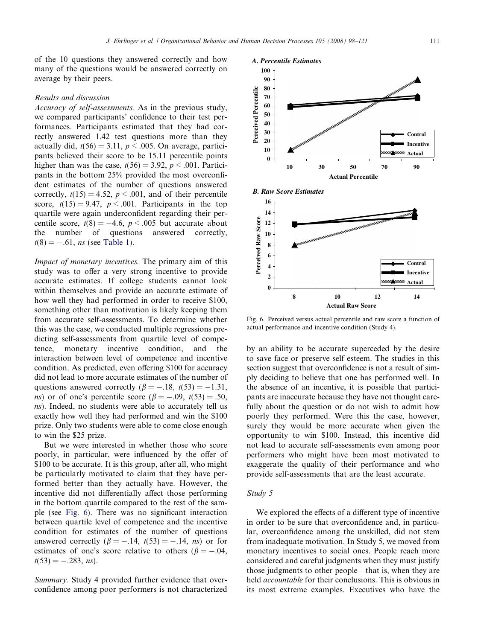of the 10 questions they answered correctly and how many of the questions would be answered correctly on average by their peers.

#### Results and discussion

Accuracy of self-assessments. As in the previous study, we compared participants' confidence to their test performances. Participants estimated that they had correctly answered 1.42 test questions more than they actually did,  $t(56) = 3.11$ ,  $p < .005$ . On average, participants believed their score to be 15.11 percentile points higher than was the case,  $t(56) = 3.92$ ,  $p < .001$ . Participants in the bottom 25% provided the most overconfident estimates of the number of questions answered correctly,  $t(15) = 4.52$ ,  $p < .001$ , and of their percentile score,  $t(15) = 9.47$ ,  $p < .001$ . Participants in the top quartile were again underconfident regarding their percentile score,  $t(8) = -4.6$ ,  $p < .005$  but accurate about the number of questions answered correctly,  $t(8) = -.61$ , *ns* (see [Table 1](#page-7-0)).

Impact of monetary incentives. The primary aim of this study was to offer a very strong incentive to provide accurate estimates. If college students cannot look within themselves and provide an accurate estimate of how well they had performed in order to receive \$100, something other than motivation is likely keeping them from accurate self-assessments. To determine whether this was the case, we conducted multiple regressions predicting self-assessments from quartile level of competence, monetary incentive condition, and the interaction between level of competence and incentive condition. As predicted, even offering \$100 for accuracy did not lead to more accurate estimates of the number of questions answered correctly  $(\beta = -.18, t(53) = -1.31,$ ns) or of one's percentile score  $(\beta = -.09, t(53) = .50,$ ns). Indeed, no students were able to accurately tell us exactly how well they had performed and win the \$100 prize. Only two students were able to come close enough to win the \$25 prize.

But we were interested in whether those who score poorly, in particular, were influenced by the offer of \$100 to be accurate. It is this group, after all, who might be particularly motivated to claim that they have performed better than they actually have. However, the incentive did not differentially affect those performing in the bottom quartile compared to the rest of the sample (see Fig. 6). There was no significant interaction between quartile level of competence and the incentive condition for estimates of the number of questions answered correctly  $(\beta = -.14, t(53) = -.14, ns)$  or for estimates of one's score relative to others ( $\beta = -.04$ ,  $t(53) = -.283, ns$ .

Summary. Study 4 provided further evidence that overconfidence among poor performers is not characterized Fig. 6. Perceived versus actual percentile and raw score a function of actual performance and incentive condition (Study 4).

by an ability to be accurate superceded by the desire to save face or preserve self esteem. The studies in this section suggest that overconfidence is not a result of simply deciding to believe that one has performed well. In the absence of an incentive, it is possible that participants are inaccurate because they have not thought carefully about the question or do not wish to admit how poorly they performed. Were this the case, however, surely they would be more accurate when given the opportunity to win \$100. Instead, this incentive did not lead to accurate self-assessments even among poor performers who might have been most motivated to exaggerate the quality of their performance and who provide self-assessments that are the least accurate.

#### Study 5

We explored the effects of a different type of incentive in order to be sure that overconfidence and, in particular, overconfidence among the unskilled, did not stem from inadequate motivation. In Study 5, we moved from monetary incentives to social ones. People reach more considered and careful judgments when they must justify those judgments to other people—that is, when they are held accountable for their conclusions. This is obvious in its most extreme examples. Executives who have the

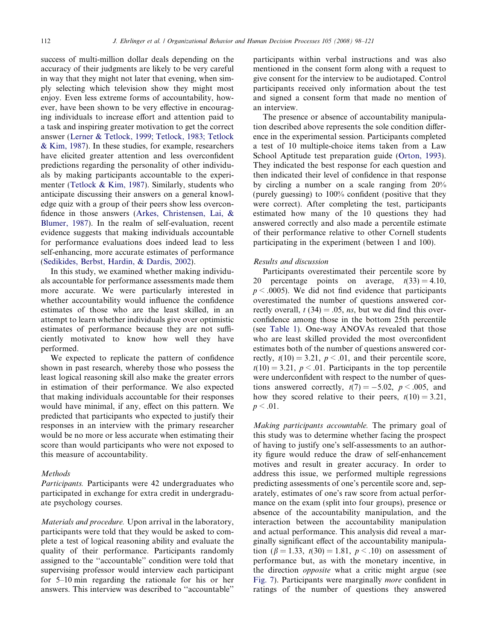success of multi-million dollar deals depending on the accuracy of their judgments are likely to be very careful in way that they might not later that evening, when simply selecting which television show they might most enjoy. Even less extreme forms of accountability, however, have been shown to be very effective in encouraging individuals to increase effort and attention paid to a task and inspiring greater motivation to get the correct answer ([Lerner & Tetlock, 1999; Tetlock, 1983; Tetlock](#page-23-0) [& Kim, 1987\)](#page-23-0). In these studies, for example, researchers have elicited greater attention and less overconfident predictions regarding the personality of other individuals by making participants accountable to the experimenter ([Tetlock & Kim, 1987](#page-23-0)). Similarly, students who anticipate discussing their answers on a general knowledge quiz with a group of their peers show less overconfidence in those answers ([Arkes, Christensen, Lai, &](#page-21-0) [Blumer, 1987](#page-21-0)). In the realm of self-evaluation, recent evidence suggests that making individuals accountable for performance evaluations does indeed lead to less self-enhancing, more accurate estimates of performance ([Sedikides, Berbst, Hardin, & Dardis, 2002\)](#page-23-0).

In this study, we examined whether making individuals accountable for performance assessments made them more accurate. We were particularly interested in whether accountability would influence the confidence estimates of those who are the least skilled, in an attempt to learn whether individuals give over optimistic estimates of performance because they are not sufficiently motivated to know how well they have performed.

We expected to replicate the pattern of confidence shown in past research, whereby those who possess the least logical reasoning skill also make the greater errors in estimation of their performance. We also expected that making individuals accountable for their responses would have minimal, if any, effect on this pattern. We predicted that participants who expected to justify their responses in an interview with the primary researcher would be no more or less accurate when estimating their score than would participants who were not exposed to this measure of accountability.

#### Methods

Participants. Participants were 42 undergraduates who participated in exchange for extra credit in undergraduate psychology courses.

Materials and procedure. Upon arrival in the laboratory, participants were told that they would be asked to complete a test of logical reasoning ability and evaluate the quality of their performance. Participants randomly assigned to the ''accountable'' condition were told that supervising professor would interview each participant for 5–10 min regarding the rationale for his or her answers. This interview was described to ''accountable''

participants within verbal instructions and was also mentioned in the consent form along with a request to give consent for the interview to be audiotaped. Control participants received only information about the test and signed a consent form that made no mention of an interview.

The presence or absence of accountability manipulation described above represents the sole condition difference in the experimental session. Participants completed a test of 10 multiple-choice items taken from a Law School Aptitude test preparation guide ([Orton, 1993\)](#page-23-0). They indicated the best response for each question and then indicated their level of confidence in that response by circling a number on a scale ranging from 20% (purely guessing) to 100% confident (positive that they were correct). After completing the test, participants estimated how many of the 10 questions they had answered correctly and also made a percentile estimate of their performance relative to other Cornell students participating in the experiment (between 1 and 100).

#### Results and discussion

Participants overestimated their percentile score by 20 percentage points on average,  $t(33) = 4.10$ ,  $p < .0005$ ). We did not find evidence that participants overestimated the number of questions answered correctly overall,  $t(34) = .05$ , ns, but we did find this overconfidence among those in the bottom 25th percentile (see [Table 1](#page-7-0)). One-way ANOVAs revealed that those who are least skilled provided the most overconfident estimates both of the number of questions answered correctly,  $t(10) = 3.21$ ,  $p < .01$ , and their percentile score,  $t(10) = 3.21$ ,  $p < 0.01$ . Participants in the top percentile were underconfident with respect to the number of questions answered correctly,  $t(7) = -5.02$ ,  $p < .005$ , and how they scored relative to their peers,  $t(10) = 3.21$ ,  $p < .01$ .

Making participants accountable. The primary goal of this study was to determine whether facing the prospect of having to justify one's self-assessments to an authority figure would reduce the draw of self-enhancement motives and result in greater accuracy. In order to address this issue, we performed multiple regressions predicting assessments of one's percentile score and, separately, estimates of one's raw score from actual performance on the exam (split into four groups), presence or absence of the accountability manipulation, and the interaction between the accountability manipulation and actual performance. This analysis did reveal a marginally significant effect of the accountability manipulation ( $\beta = 1.33$ ,  $t(30) = 1.81$ ,  $p < .10$ ) on assessment of performance but, as with the monetary incentive, in the direction opposite what a critic might argue (see [Fig. 7](#page-15-0)). Participants were marginally more confident in ratings of the number of questions they answered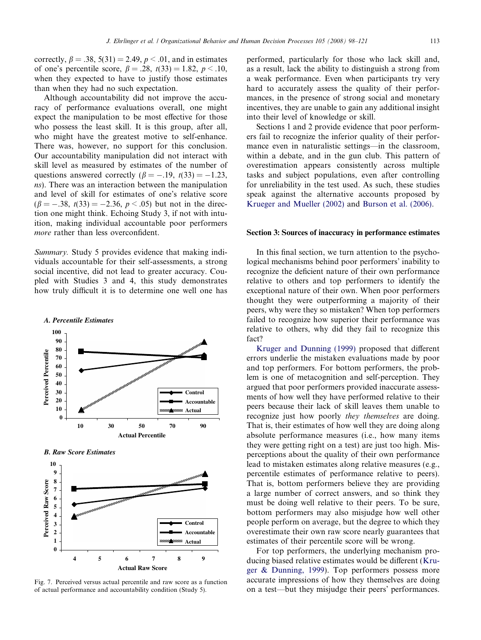<span id="page-15-0"></span>correctly,  $\beta = .38, 5(31) = 2.49, p < .01$ , and in estimates of one's percentile score,  $\beta = .28$ ,  $t(33) = 1.82$ ,  $p < .10$ , when they expected to have to justify those estimates than when they had no such expectation.

Although accountability did not improve the accuracy of performance evaluations overall, one might expect the manipulation to be most effective for those who possess the least skill. It is this group, after all, who might have the greatest motive to self-enhance. There was, however, no support for this conclusion. Our accountability manipulation did not interact with skill level as measured by estimates of the number of questions answered correctly  $(\beta = -.19, t(33)) = -1.23$ , ns). There was an interaction between the manipulation and level of skill for estimates of one's relative score  $(\beta = -.38, t(33) = -2.36, p < .05)$  but not in the direction one might think. Echoing Study 3, if not with intuition, making individual accountable poor performers more rather than less overconfident.

Summary. Study 5 provides evidence that making individuals accountable for their self-assessments, a strong social incentive, did not lead to greater accuracy. Coupled with Studies 3 and 4, this study demonstrates how truly difficult it is to determine one well one has



*B. Raw Score Estimates*



Fig. 7. Perceived versus actual percentile and raw score as a function of actual performance and accountability condition (Study 5).

performed, particularly for those who lack skill and, as a result, lack the ability to distinguish a strong from a weak performance. Even when participants try very hard to accurately assess the quality of their performances, in the presence of strong social and monetary incentives, they are unable to gain any additional insight into their level of knowledge or skill.

Sections 1 and 2 provide evidence that poor performers fail to recognize the inferior quality of their performance even in naturalistic settings—in the classroom, within a debate, and in the gun club. This pattern of overestimation appears consistently across multiple tasks and subject populations, even after controlling for unreliability in the test used. As such, these studies speak against the alternative accounts proposed by [Krueger and Mueller \(2002\)](#page-22-0) and [Burson et al. \(2006\).](#page-22-0)

#### Section 3: Sources of inaccuracy in performance estimates

In this final section, we turn attention to the psychological mechanisms behind poor performers' inability to recognize the deficient nature of their own performance relative to others and top performers to identify the exceptional nature of their own. When poor performers thought they were outperforming a majority of their peers, why were they so mistaken? When top performers failed to recognize how superior their performance was relative to others, why did they fail to recognize this fact?

[Kruger and Dunning \(1999\)](#page-22-0) proposed that different errors underlie the mistaken evaluations made by poor and top performers. For bottom performers, the problem is one of metacognition and self-perception. They argued that poor performers provided inaccurate assessments of how well they have performed relative to their peers because their lack of skill leaves them unable to recognize just how poorly they themselves are doing. That is, their estimates of how well they are doing along absolute performance measures (i.e., how many items they were getting right on a test) are just too high. Misperceptions about the quality of their own performance lead to mistaken estimates along relative measures (e.g., percentile estimates of performance relative to peers). That is, bottom performers believe they are providing a large number of correct answers, and so think they must be doing well relative to their peers. To be sure, bottom performers may also misjudge how well other people perform on average, but the degree to which they overestimate their own raw score nearly guarantees that estimates of their percentile score will be wrong.

For top performers, the underlying mechanism producing biased relative estimates would be different ([Kru](#page-22-0)[ger & Dunning, 1999\)](#page-22-0). Top performers possess more accurate impressions of how they themselves are doing on a test—but they misjudge their peers' performances.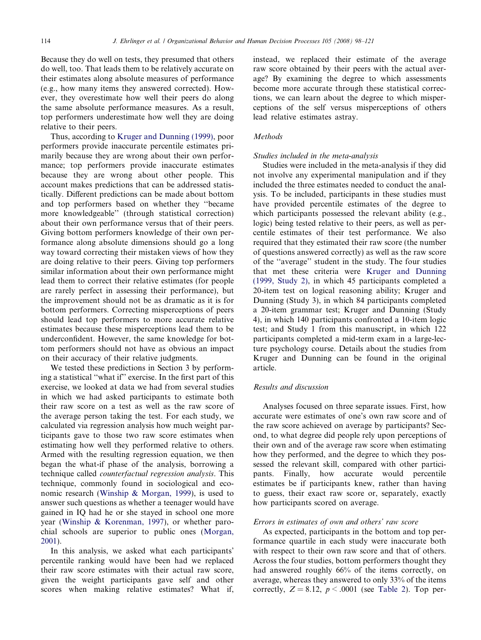Because they do well on tests, they presumed that others do well, too. That leads them to be relatively accurate on their estimates along absolute measures of performance (e.g., how many items they answered corrected). However, they overestimate how well their peers do along the same absolute performance measures. As a result, top performers underestimate how well they are doing relative to their peers.

Thus, according to [Kruger and Dunning \(1999\)](#page-22-0), poor performers provide inaccurate percentile estimates primarily because they are wrong about their own performance; top performers provide inaccurate estimates because they are wrong about other people. This account makes predictions that can be addressed statistically. Different predictions can be made about bottom and top performers based on whether they ''became more knowledgeable'' (through statistical correction) about their own performance versus that of their peers. Giving bottom performers knowledge of their own performance along absolute dimensions should go a long way toward correcting their mistaken views of how they are doing relative to their peers. Giving top performers similar information about their own performance might lead them to correct their relative estimates (for people are rarely perfect in assessing their performance), but the improvement should not be as dramatic as it is for bottom performers. Correcting misperceptions of peers should lead top performers to more accurate relative estimates because these misperceptions lead them to be underconfident. However, the same knowledge for bottom performers should not have as obvious an impact on their accuracy of their relative judgments.

We tested these predictions in Section 3 by performing a statistical ''what if'' exercise. In the first part of this exercise, we looked at data we had from several studies in which we had asked participants to estimate both their raw score on a test as well as the raw score of the average person taking the test. For each study, we calculated via regression analysis how much weight participants gave to those two raw score estimates when estimating how well they performed relative to others. Armed with the resulting regression equation, we then began the what-if phase of the analysis, borrowing a technique called counterfactual regression analysis. This technique, commonly found in sociological and economic research ([Winship & Morgan, 1999\)](#page-23-0), is used to answer such questions as whether a teenager would have gained in IQ had he or she stayed in school one more year ([Winship & Korenman, 1997](#page-23-0)), or whether parochial schools are superior to public ones [\(Morgan,](#page-23-0) [2001\)](#page-23-0).

In this analysis, we asked what each participants' percentile ranking would have been had we replaced their raw score estimates with their actual raw score, given the weight participants gave self and other scores when making relative estimates? What if, instead, we replaced their estimate of the average raw score obtained by their peers with the actual average? By examining the degree to which assessments become more accurate through these statistical corrections, we can learn about the degree to which misperceptions of the self versus misperceptions of others lead relative estimates astray.

## Methods

#### Studies included in the meta-analysis

Studies were included in the meta-analysis if they did not involve any experimental manipulation and if they included the three estimates needed to conduct the analysis. To be included, participants in these studies must have provided percentile estimates of the degree to which participants possessed the relevant ability (e.g., logic) being tested relative to their peers, as well as percentile estimates of their test performance. We also required that they estimated their raw score (the number of questions answered correctly) as well as the raw score of the ''average'' student in the study. The four studies that met these criteria were [Kruger and Dunning](#page-22-0) [\(1999, Study 2\)](#page-22-0), in which 45 participants completed a 20-item test on logical reasoning ability; Kruger and Dunning (Study 3), in which 84 participants completed a 20-item grammar test; Kruger and Dunning (Study 4), in which 140 participants confronted a 10-item logic test; and Study 1 from this manuscript, in which 122 participants completed a mid-term exam in a large-lecture psychology course. Details about the studies from Kruger and Dunning can be found in the original article.

# Results and discussion

Analyses focused on three separate issues. First, how accurate were estimates of one's own raw score and of the raw score achieved on average by participants? Second, to what degree did people rely upon perceptions of their own and of the average raw score when estimating how they performed, and the degree to which they possessed the relevant skill, compared with other participants. Finally, how accurate would percentile estimates be if participants knew, rather than having to guess, their exact raw score or, separately, exactly how participants scored on average.

#### Errors in estimates of own and others' raw score

As expected, participants in the bottom and top performance quartile in each study were inaccurate both with respect to their own raw score and that of others. Across the four studies, bottom performers thought they had answered roughly 66% of the items correctly, on average, whereas they answered to only 33% of the items correctly,  $Z = 8.12$ ,  $p < .0001$  (see [Table 2](#page-17-0)). Top per-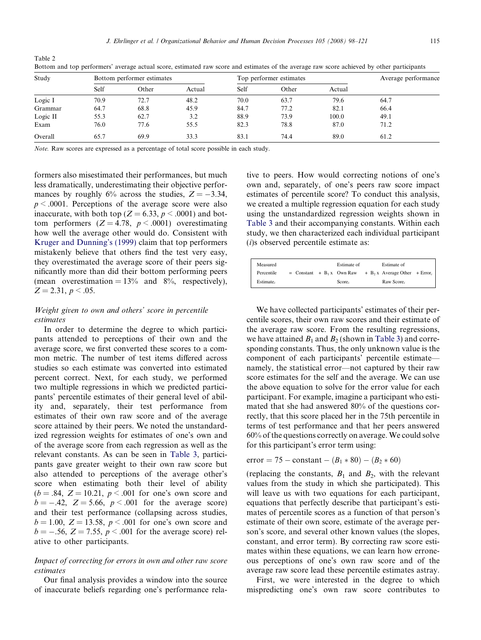| Study    | Bottom performer estimates |       |        |      | Top performer estimates | Average performance |      |
|----------|----------------------------|-------|--------|------|-------------------------|---------------------|------|
|          | Self                       | Other | Actual | Self | Other                   | Actual              |      |
| Logic I  | 70.9                       | 72.7  | 48.2   | 70.0 | 63.7                    | 79.6                | 64.7 |
| Grammar  | 64.7                       | 68.8  | 45.9   | 84.7 | 77.2                    | 82.1                | 66.4 |
| Logic II | 55.3                       | 62.7  | 3.2    | 88.9 | 73.9                    | 100.0               | 49.1 |
| Exam     | 76.0                       | 77.6  | 55.5   | 82.3 | 78.8                    | 87.0                | 71.2 |
| Overall  | 65.7                       | 69.9  | 33.3   | 83.1 | 74.4                    | 89.0                | 61.2 |

Bottom and top performers' average actual score, estimated raw score and estimates of the average raw score achieved by other participants

Note. Raw scores are expressed as a percentage of total score possible in each study.

formers also misestimated their performances, but much less dramatically, underestimating their objective performances by roughly  $6\%$  across the studies,  $Z = -3.34$ ,  $p < .0001$ . Perceptions of the average score were also inaccurate, with both top ( $Z = 6.33$ ,  $p < .0001$ ) and bottom performers  $(Z = 4.78, p < .0001)$  overestimating how well the average other would do. Consistent with [Kruger and Dunning's \(1999\)](#page-22-0) claim that top performers mistakenly believe that others find the test very easy, they overestimated the average score of their peers significantly more than did their bottom performing peers (mean overestimation  $= 13\%$  and  $8\%$ , respectively),  $Z = 2.31, p \leq .05.$ 

<span id="page-17-0"></span>Table 2

# Weight given to own and others' score in percentile estimates

In order to determine the degree to which participants attended to perceptions of their own and the average score, we first converted these scores to a common metric. The number of test items differed across studies so each estimate was converted into estimated percent correct. Next, for each study, we performed two multiple regressions in which we predicted participants' percentile estimates of their general level of ability and, separately, their test performance from estimates of their own raw score and of the average score attained by their peers. We noted the unstandardized regression weights for estimates of one's own and of the average score from each regression as well as the relevant constants. As can be seen in [Table 3](#page-18-0), participants gave greater weight to their own raw score but also attended to perceptions of the average other's score when estimating both their level of ability  $(b = .84, Z = 10.21, p < .001$  for one's own score and  $b = -.42$ ,  $Z = 5.66$ ,  $p < .001$  for the average score) and their test performance (collapsing across studies,  $b = 1.00$ ,  $Z = 13.58$ ,  $p < .001$  for one's own score and  $b = -.56$ ,  $Z = 7.55$ ,  $p < .001$  for the average score) relative to other participants.

# Impact of correcting for errors in own and other raw score estimates

Our final analysis provides a window into the source of inaccurate beliefs regarding one's performance relative to peers. How would correcting notions of one's own and, separately, of one's peers raw score impact estimates of percentile score? To conduct this analysis, we created a multiple regression equation for each study using the unstandardized regression weights shown in [Table 3](#page-18-0) and their accompanying constants. Within each study, we then characterized each individual participant (i)s observed percentile estimate as:

| Measured   |                                | Estimate of |  | Estimate of                                  |  |
|------------|--------------------------------|-------------|--|----------------------------------------------|--|
| Percentile | $=$ Constant + $B_1 x$ Own Raw |             |  | + $B_2 x$ Average Other + Error <sub>i</sub> |  |
| Estimate,  |                                | $Score_i$   |  | Raw Score                                    |  |

We have collected participants' estimates of their percentile scores, their own raw scores and their estimate of the average raw score. From the resulting regressions, we have attained  $B_1$  and  $B_2$  (shown in [Table 3\)](#page-18-0) and corresponding constants. Thus, the only unknown value is the component of each participants' percentile estimate namely, the statistical error—not captured by their raw score estimates for the self and the average. We can use the above equation to solve for the error value for each participant. For example, imagine a participant who estimated that she had answered 80% of the questions correctly, that this score placed her in the 75th percentile in terms of test performance and that her peers answered 60% of the questions correctly on average. We could solve for this participant's error term using:

error = 75 - constant -  $(B_1 * 80) - (B_2 * 60)$ 

(replacing the constants,  $B_1$  and  $B_2$ , with the relevant values from the study in which she participated). This will leave us with two equations for each participant, equations that perfectly describe that participant's estimates of percentile scores as a function of that person's estimate of their own score, estimate of the average person's score, and several other known values (the slopes, constant, and error term). By correcting raw score estimates within these equations, we can learn how erroneous perceptions of one's own raw score and of the average raw score lead these percentile estimates astray.

First, we were interested in the degree to which mispredicting one's own raw score contributes to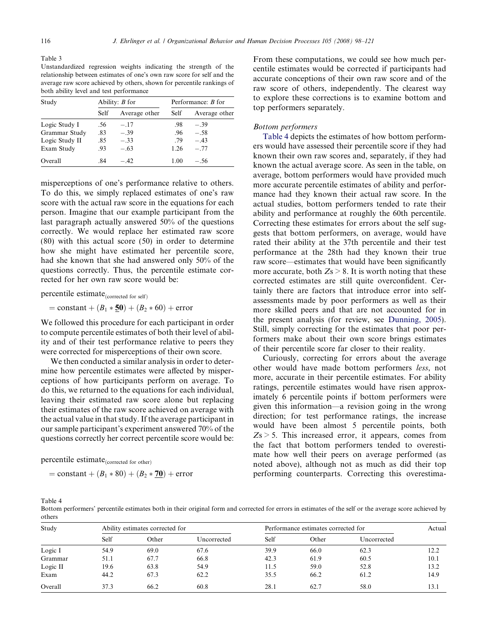<span id="page-18-0"></span>Table 3

Unstandardized regression weights indicating the strength of the relationship between estimates of one's own raw score for self and the average raw score achieved by others, shown for percentile rankings of both ability level and test performance

| Study          |      | Ability: $B$ for | Performance: $B$ for |               |  |
|----------------|------|------------------|----------------------|---------------|--|
|                | Self | Average other    | Self                 | Average other |  |
| Logic Study I  | .56  | $-.17$           | .98                  | $-.39$        |  |
| Grammar Study  | .83  | $-.39$           | .96                  | $-.58$        |  |
| Logic Study II | .85  | $-.33$           | .79                  | $-.43$        |  |
| Exam Study     | .93  | $-.63$           | 1.26                 | $-77$         |  |
| Overall        | .84  | $-42$            | 1.00                 | - 56          |  |

misperceptions of one's performance relative to others. To do this, we simply replaced estimates of one's raw score with the actual raw score in the equations for each person. Imagine that our example participant from the last paragraph actually answered 50% of the questions correctly. We would replace her estimated raw score (80) with this actual score (50) in order to determine how she might have estimated her percentile score, had she known that she had answered only 50% of the questions correctly. Thus, the percentile estimate corrected for her own raw score would be:

percentile estimate<sub>(corrected for self)</sub>

 $=$  constant  $+(B_1 * 50) + (B_2 * 60) +$  error

We followed this procedure for each participant in order to compute percentile estimates of both their level of ability and of their test performance relative to peers they were corrected for misperceptions of their own score.

We then conducted a similar analysis in order to determine how percentile estimates were affected by misperceptions of how participants perform on average. To do this, we returned to the equations for each individual, leaving their estimated raw score alone but replacing their estimates of the raw score achieved on average with the actual value in that study. If the average participant in our sample participant's experiment answered 70% of the questions correctly her correct percentile score would be:

percentile estimate<sub>(corrected for other)</sub>

$$
= constant + (B_1 * 80) + (B_2 * 70) + error
$$

From these computations, we could see how much percentile estimates would be corrected if participants had accurate conceptions of their own raw score and of the raw score of others, independently. The clearest way to explore these corrections is to examine bottom and top performers separately.

#### Bottom performers

Table 4 depicts the estimates of how bottom performers would have assessed their percentile score if they had known their own raw scores and, separately, if they had known the actual average score. As seen in the table, on average, bottom performers would have provided much more accurate percentile estimates of ability and performance had they known their actual raw score. In the actual studies, bottom performers tended to rate their ability and performance at roughly the 60th percentile. Correcting these estimates for errors about the self suggests that bottom performers, on average, would have rated their ability at the 37th percentile and their test performance at the 28th had they known their true raw score—estimates that would have been significantly more accurate, both  $Z_s > 8$ . It is worth noting that these corrected estimates are still quite overconfident. Certainly there are factors that introduce error into selfassessments made by poor performers as well as their more skilled peers and that are not accounted for in the present analysis (for review, see [Dunning, 2005\)](#page-22-0). Still, simply correcting for the estimates that poor performers make about their own score brings estimates of their percentile score far closer to their reality.

Curiously, correcting for errors about the average other would have made bottom performers less, not more, accurate in their percentile estimates. For ability ratings, percentile estimates would have risen approximately 6 percentile points if bottom performers were given this information—a revision going in the wrong direction; for test performance ratings, the increase would have been almost 5 percentile points, both  $Zs > 5$ . This increased error, it appears, comes from the fact that bottom performers tended to overestimate how well their peers on average performed (as noted above), although not as much as did their top performing counterparts. Correcting this overestima-

Table 4

Bottom performers' percentile estimates both in their original form and corrected for errors in estimates of the self or the average score achieved by others

| Study    | Ability estimates corrected for |       |             | Performance estimates corrected for | Actual |             |      |
|----------|---------------------------------|-------|-------------|-------------------------------------|--------|-------------|------|
|          | Self                            | Other | Uncorrected | Self                                | Other  | Uncorrected |      |
| Logic I  | 54.9                            | 69.0  | 67.6        | 39.9                                | 66.0   | 62.3        | 12.2 |
| Grammar  | 51.1                            | 67.7  | 66.8        | 42.3                                | 61.9   | 60.5        | 10.1 |
| Logic II | 19.6                            | 63.8  | 54.9        | 11.5                                | 59.0   | 52.8        | 13.2 |
| Exam     | 44.2                            | 67.3  | 62.2        | 35.5                                | 66.2   | 61.2        | 14.9 |
| Overall  | 37.3                            | 66.2  | 60.8        | 28.1                                | 62.7   | 58.0        | 13.1 |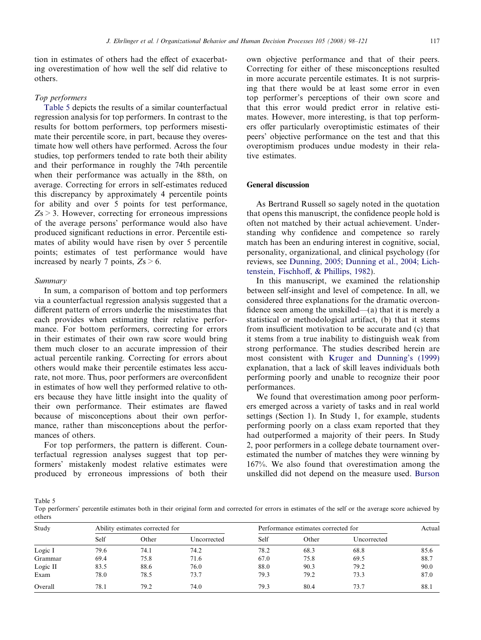tion in estimates of others had the effect of exacerbating overestimation of how well the self did relative to others.

#### Top performers

Table 5 depicts the results of a similar counterfactual regression analysis for top performers. In contrast to the results for bottom performers, top performers misestimate their percentile score, in part, because they overestimate how well others have performed. Across the four studies, top performers tended to rate both their ability and their performance in roughly the 74th percentile when their performance was actually in the 88th, on average. Correcting for errors in self-estimates reduced this discrepancy by approximately 4 percentile points for ability and over 5 points for test performance,  $Zs > 3$ . However, correcting for erroneous impressions of the average persons' performance would also have produced significant reductions in error. Percentile estimates of ability would have risen by over 5 percentile points; estimates of test performance would have increased by nearly 7 points,  $Z_s > 6$ .

## Summary

In sum, a comparison of bottom and top performers via a counterfactual regression analysis suggested that a different pattern of errors underlie the misestimates that each provides when estimating their relative performance. For bottom performers, correcting for errors in their estimates of their own raw score would bring them much closer to an accurate impression of their actual percentile ranking. Correcting for errors about others would make their percentile estimates less accurate, not more. Thus, poor performers are overconfident in estimates of how well they performed relative to others because they have little insight into the quality of their own performance. Their estimates are flawed because of misconceptions about their own performance, rather than misconceptions about the performances of others.

For top performers, the pattern is different. Counterfactual regression analyses suggest that top performers' mistakenly modest relative estimates were produced by erroneous impressions of both their own objective performance and that of their peers. Correcting for either of these misconceptions resulted in more accurate percentile estimates. It is not surprising that there would be at least some error in even top performer's perceptions of their own score and that this error would predict error in relative estimates. However, more interesting, is that top performers offer particularly overoptimistic estimates of their peers' objective performance on the test and that this overoptimism produces undue modesty in their relative estimates.

## General discussion

As Bertrand Russell so sagely noted in the quotation that opens this manuscript, the confidence people hold is often not matched by their actual achievement. Understanding why confidence and competence so rarely match has been an enduring interest in cognitive, social, personality, organizational, and clinical psychology (for reviews, see [Dunning, 2005; Dunning et al., 2004; Lich](#page-22-0)[tenstein, Fischhoff, & Phillips, 1982\)](#page-22-0).

In this manuscript, we examined the relationship between self-insight and level of competence. In all, we considered three explanations for the dramatic overconfidence seen among the unskilled—(a) that it is merely a statistical or methodological artifact, (b) that it stems from insufficient motivation to be accurate and (c) that it stems from a true inability to distinguish weak from strong performance. The studies described herein are most consistent with [Kruger and Dunning's \(1999\)](#page-22-0) explanation, that a lack of skill leaves individuals both performing poorly and unable to recognize their poor performances.

We found that overestimation among poor performers emerged across a variety of tasks and in real world settings (Section 1). In Study 1, for example, students performing poorly on a class exam reported that they had outperformed a majority of their peers. In Study 2, poor performers in a college debate tournament overestimated the number of matches they were winning by 167%. We also found that overestimation among the unskilled did not depend on the measure used. [Burson](#page-22-0)

Table 5

Top performers' percentile estimates both in their original form and corrected for errors in estimates of the self or the average score achieved by others

| Study    | Ability estimates corrected for |       |             | Performance estimates corrected for | Actual |             |      |
|----------|---------------------------------|-------|-------------|-------------------------------------|--------|-------------|------|
|          | Self                            | Other | Uncorrected | Self                                | Other  | Uncorrected |      |
| Logic I  | 79.6                            | 74.1  | 74.2        | 78.2                                | 68.3   | 68.8        | 85.6 |
| Grammar  | 69.4                            | 75.8  | 71.6        | 67.0                                | 75.8   | 69.5        | 88.7 |
| Logic II | 83.5                            | 88.6  | 76.0        | 88.0                                | 90.3   | 79.2        | 90.0 |
| Exam     | 78.0                            | 78.5  | 73.7        | 79.3                                | 79.2   | 73.3        | 87.0 |
| Overall  | 78.1                            | 79.2  | 74.0        | 79.3                                | 80.4   | 73.7        | 88.1 |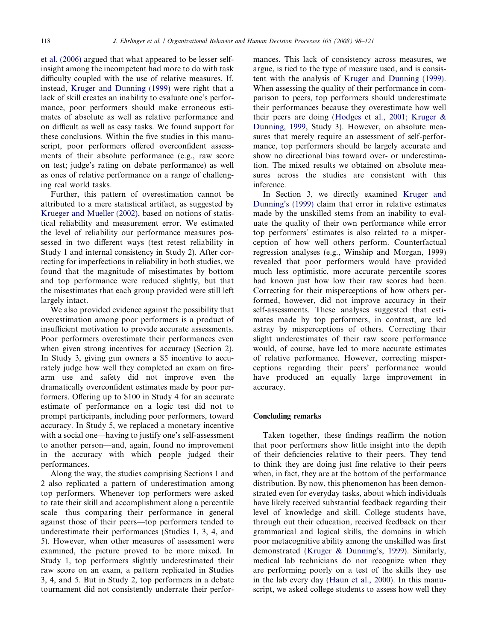[et al. \(2006\)](#page-22-0) argued that what appeared to be lesser selfinsight among the incompetent had more to do with task difficulty coupled with the use of relative measures. If, instead, [Kruger and Dunning \(1999\)](#page-22-0) were right that a lack of skill creates an inability to evaluate one's performance, poor performers should make erroneous estimates of absolute as well as relative performance and on difficult as well as easy tasks. We found support for these conclusions. Within the five studies in this manuscript, poor performers offered overconfident assessments of their absolute performance (e.g., raw score on test; judge's rating on debate performance) as well as ones of relative performance on a range of challenging real world tasks.

Further, this pattern of overestimation cannot be attributed to a mere statistical artifact, as suggested by [Krueger and Mueller \(2002\),](#page-22-0) based on notions of statistical reliability and measurement error. We estimated the level of reliability our performance measures possessed in two different ways (test–retest reliability in Study 1 and internal consistency in Study 2). After correcting for imperfections in reliability in both studies, we found that the magnitude of misestimates by bottom and top performance were reduced slightly, but that the misestimates that each group provided were still left largely intact.

We also provided evidence against the possibility that overestimation among poor performers is a product of insufficient motivation to provide accurate assessments. Poor performers overestimate their performances even when given strong incentives for accuracy (Section 2). In Study 3, giving gun owners a \$5 incentive to accurately judge how well they completed an exam on firearm use and safety did not improve even the dramatically overconfident estimates made by poor performers. Offering up to \$100 in Study 4 for an accurate estimate of performance on a logic test did not to prompt participants, including poor performers, toward accuracy. In Study 5, we replaced a monetary incentive with a social one—having to justify one's self-assessment to another person—and, again, found no improvement in the accuracy with which people judged their performances.

Along the way, the studies comprising Sections 1 and 2 also replicated a pattern of underestimation among top performers. Whenever top performers were asked to rate their skill and accomplishment along a percentile scale—thus comparing their performance in general against those of their peers—top performers tended to underestimate their performances (Studies 1, 3, 4, and 5). However, when other measures of assessment were examined, the picture proved to be more mixed. In Study 1, top performers slightly underestimated their raw score on an exam, a pattern replicated in Studies 3, 4, and 5. But in Study 2, top performers in a debate tournament did not consistently underrate their performances. This lack of consistency across measures, we argue, is tied to the type of measure used, and is consistent with the analysis of [Kruger and Dunning \(1999\)](#page-22-0). When assessing the quality of their performance in comparison to peers, top performers should underestimate their performances because they overestimate how well their peers are doing ([Hodges et al., 2001; Kruger &](#page-22-0) [Dunning, 1999,](#page-22-0) Study 3). However, on absolute measures that merely require an assessment of self-performance, top performers should be largely accurate and show no directional bias toward over- or underestimation. The mixed results we obtained on absolute measures across the studies are consistent with this inference.

In Section 3, we directly examined [Kruger and](#page-22-0) [Dunning's \(1999\)](#page-22-0) claim that error in relative estimates made by the unskilled stems from an inability to evaluate the quality of their own performance while error top performers' estimates is also related to a misperception of how well others perform. Counterfactual regression analyses (e.g., Winship and Morgan, 1999) revealed that poor performers would have provided much less optimistic, more accurate percentile scores had known just how low their raw scores had been. Correcting for their misperceptions of how others performed, however, did not improve accuracy in their self-assessments. These analyses suggested that estimates made by top performers, in contrast, are led astray by misperceptions of others. Correcting their slight underestimates of their raw score performance would, of course, have led to more accurate estimates of relative performance. However, correcting misperceptions regarding their peers' performance would have produced an equally large improvement in accuracy.

## Concluding remarks

Taken together, these findings reaffirm the notion that poor performers show little insight into the depth of their deficiencies relative to their peers. They tend to think they are doing just fine relative to their peers when, in fact, they are at the bottom of the performance distribution. By now, this phenomenon has been demonstrated even for everyday tasks, about which individuals have likely received substantial feedback regarding their level of knowledge and skill. College students have, through out their education, received feedback on their grammatical and logical skills, the domains in which poor metacognitive ability among the unskilled was first demonstrated [\(Kruger & Dunning's, 1999\)](#page-22-0). Similarly, medical lab technicians do not recognize when they are performing poorly on a test of the skills they use in the lab every day ([Haun et al., 2000\)](#page-22-0). In this manuscript, we asked college students to assess how well they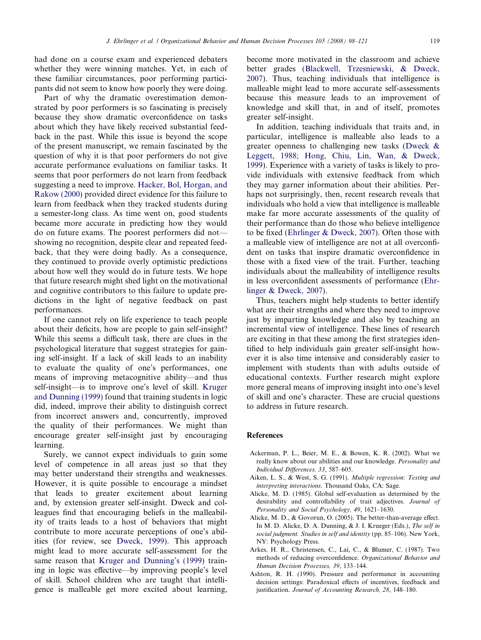<span id="page-21-0"></span>had done on a course exam and experienced debaters whether they were winning matches. Yet, in each of these familiar circumstances, poor performing participants did not seem to know how poorly they were doing.

Part of why the dramatic overestimation demonstrated by poor performers is so fascinating is precisely because they show dramatic overconfidence on tasks about which they have likely received substantial feedback in the past. While this issue is beyond the scope of the present manuscript, we remain fascinated by the question of why it is that poor performers do not give accurate performance evaluations on familiar tasks. It seems that poor performers do not learn from feedback suggesting a need to improve. [Hacker, Bol, Horgan, and](#page-22-0) [Rakow \(2000\)](#page-22-0) provided direct evidence for this failure to learn from feedback when they tracked students during a semester-long class. As time went on, good students became more accurate in predicting how they would do on future exams. The poorest performers did not showing no recognition, despite clear and repeated feedback, that they were doing badly. As a consequence, they continued to provide overly optimistic predictions about how well they would do in future tests. We hope that future research might shed light on the motivational and cognitive contributors to this failure to update predictions in the light of negative feedback on past performances.

If one cannot rely on life experience to teach people about their deficits, how are people to gain self-insight? While this seems a difficult task, there are clues in the psychological literature that suggest strategies for gaining self-insight. If a lack of skill leads to an inability to evaluate the quality of one's performances, one means of improving metacognitive ability—and thus self-insight—is to improve one's level of skill. [Kruger](#page-22-0) [and Dunning \(1999\)](#page-22-0) found that training students in logic did, indeed, improve their ability to distinguish correct from incorrect answers and, concurrently, improved the quality of their performances. We might than encourage greater self-insight just by encouraging learning.

Surely, we cannot expect individuals to gain some level of competence in all areas just so that they may better understand their strengths and weaknesses. However, it is quite possible to encourage a mindset that leads to greater excitement about learning and, by extension greater self-insight. Dweck and colleagues find that encouraging beliefs in the malleability of traits leads to a host of behaviors that might contribute to more accurate perceptions of one's abilities (for review, see [Dweck, 1999](#page-22-0)). This approach might lead to more accurate self-assessment for the same reason that [Kruger and Dunning's \(1999\)](#page-22-0) training in logic was effective—by improving people's level of skill. School children who are taught that intelligence is malleable get more excited about learning, become more motivated in the classroom and achieve better grades ([Blackwell, Trzesniewski, & Dweck,](#page-22-0) [2007](#page-22-0)). Thus, teaching individuals that intelligence is malleable might lead to more accurate self-assessments because this measure leads to an improvement of knowledge and skill that, in and of itself, promotes greater self-insight.

In addition, teaching individuals that traits and, in particular, intelligence is malleable also leads to a greater openness to challenging new tasks [\(Dweck &](#page-22-0) [Leggett, 1988; Hong, Chiu, Lin, Wan, & Dweck,](#page-22-0) [1999](#page-22-0)). Experience with a variety of tasks is likely to provide individuals with extensive feedback from which they may garner information about their abilities. Perhaps not surprisingly, then, recent research reveals that individuals who hold a view that intelligence is malleable make far more accurate assessments of the quality of their performance than do those who believe intelligence to be fixed [\(Ehrlinger & Dweck, 2007\)](#page-22-0). Often those with a malleable view of intelligence are not at all overconfident on tasks that inspire dramatic overconfidence in those with a fixed view of the trait. Further, teaching individuals about the malleability of intelligence results in less overconfident assessments of performance [\(Ehr](#page-22-0)[linger & Dweck, 2007\)](#page-22-0).

Thus, teachers might help students to better identify what are their strengths and where they need to improve just by imparting knowledge and also by teaching an incremental view of intelligence. These lines of research are exciting in that these among the first strategies identified to help individuals gain greater self-insight however it is also time intensive and considerably easier to implement with students than with adults outside of educational contexts. Further research might explore more general means of improving insight into one's level of skill and one's character. These are crucial questions to address in future research.

#### References

- Ackerman, P. L., Beier, M. E., & Bowen, K. R. (2002). What we really know about our abilities and our knowledge. Personality and Individual Differences, 33, 587–605.
- Aiken, L. S., & West, S. G. (1991). Multiple regression: Testing and interpreting interactions. Thousand Oaks, CA: Sage.
- Alicke, M. D. (1985). Global self-evaluation as determined by the desirability and controllability of trait adjectives. Journal of Personality and Social Psychology, 49, 1621–1630.
- Alicke, M. D., & Govorun, O. (2005). The better-than-average effect. In M. D. Alicke, D. A. Dunning, & J. I. Krueger (Eds.), The self in social judgment. Studies in self and identity (pp. 85–106). New York, NY: Psychology Press.
- Arkes, H. R., Christensen, C., Lai, C., & Blumer, C. (1987). Two methods of reducing overconfidence. Organizational Behavior and Human Decision Processes, 39, 133–144.
- Ashton, R. H. (1990). Pressure and performance in accounting decision settings: Paradoxical effects of incentives, feedback and justification. Journal of Accounting Research, 28, 148–180.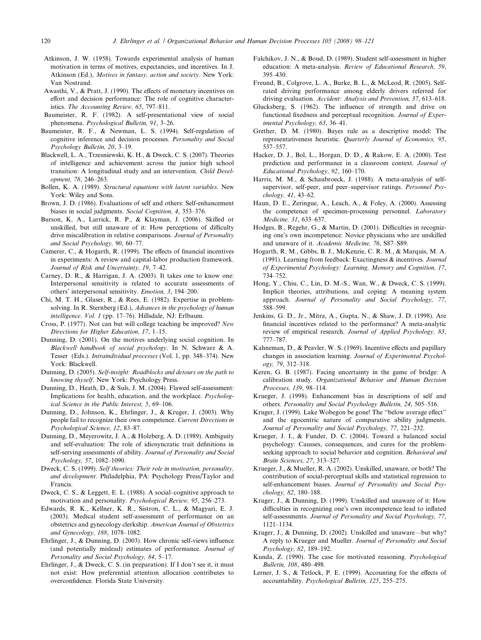- <span id="page-22-0"></span>Atkinson, J. W. (1958). Towards experimental analysis of human motivation in terms of motives, expectancies, and incentives. In J. Atkinson (Ed.), Motives in fantasy, action and society. New York: Van Nostrand.
- Awasthi, V., & Pratt, J. (1990). The effects of monetary incentives on effort and decision performance: The role of cognitive characteristics. The Accounting Review, 65, 797–811.
- Baumeister, R. F. (1982). A self-presentational view of social phenomena. Psychological Bulletin, 91, 3–26.
- Baumeister, R. F., & Newman, L. S. (1994). Self-regulation of cognitive inference and decision processes. Personality and Social Psychology Bulletin, 20, 3–19.
- Blackwell, L. A., Trzesniewski, K. H., & Dweck, C. S. (2007). Theories of intelligence and achievement across the junior high school transition: A longitudinal study and an intervention. Child Development, 78, 246–263.
- Bollen, K. A. (1989). Structural equations with latent variables. New York: Wiley and Sons.
- Brown, J. D. (1986). Evaluations of self and others: Self-enhancement biases in social judgments. Social Cognition, 4, 353–376.
- Burson, K. A., Larrick, R. P., & Klayman, J. (2006). Skilled or unskilled, but still unaware of it: How perceptions of difficulty drive miscalibration in relative comparisons. Journal of Personality and Social Psychology, 90, 60–77.
- Camerer, C., & Hogarth, R. (1999). The effects of financial incentives in experiments: A review and capital-labor production framework. Journal of Risk and Uncertainty, 19, 7–42.
- Carney, D. R., & Harrigan, J. A. (2003). It takes one to know one: Interpersonal sensitivity is related to accurate assessments of others' interpersonal sensitivity. Emotion, 3, 194–200.
- Chi, M. T. H., Glaser, R., & Rees, E. (1982). Expertise in problemsolving. In R. Sternberg (Ed.), Advances in the psychology of human intelligence. Vol. 1 (pp. 17–76). Hillsdale, NJ: Erlbaum.
- Cross, P. (1977). Not can but will college teaching be improved? New Directions for Higher Education, 17, 1–15.
- Dunning, D. (2001). On the motives underlying social cognition. In Blackwell handbook of social psychology. In N. Schwarz & A. Tesser (Eds.). Intraindividual processes (Vol. 1, pp. 348–374). New York: Blackwell.
- Dunning, D. (2005). Self-insight: Roadblocks and detours on the path to knowing thyself. New York: Psychology Press.
- Dunning, D., Heath, D., & Suls, J. M. (2004). Flawed self-assessment: Implications for health, education, and the workplace. Psychological Science in the Public Interest, 5, 69–106.
- Dunning, D., Johnson, K., Ehrlinger, J., & Kruger, J. (2003). Why people fail to recognize their own competence. Current Directions in Psychological Science, 12, 83–87.
- Dunning, D., Meyerowitz, J. A., & Holzberg, A. D. (1989). Ambiguity and self-evaluation: The role of idiosyncratic trait definitions in self-serving assessments of ability. Journal of Personality and Social Psychology, 57, 1082–1090.
- Dweck, C. S. (1999). Self theories: Their role in motivation, personality, and development. Philadelphia, PA: Psychology Press/Taylor and Francis.
- Dweck, C. S., & Leggett, E. L. (1988). A social–cognitive approach to motivation and personality. Psychological Review, 95, 256–273.
- Edwards, R. K., Kellner, K. R., Sistron, C. L., & Magyari, E. J. (2003). Medical student self-assessment of performance on an obstetrics and gynecology clerkship. American Journal of Obstetrics and Gynecology, 188, 1078–1082.
- Ehrlinger, J., & Dunning, D. (2003). How chronic self-views influence (and potentially mislead) estimates of performance. Journal of Personality and Social Psychology, 84, 5–17.
- Ehrlinger, J., & Dweck, C. S. (in preparation). If I don't see it, it must not exist: How preferential attention allocation contributes to overconfidence. Florida State University.
- Falchikov, J. N., & Boud, D. (1989). Student self-assessment in higher education: A meta-analysis. Review of Educational Research, 59, 395–430.
- Freund, B., Colgrove, L. A., Burke, B. L., & McLeod, R. (2005). Selfrated driving performance among elderly drivers referred for driving evaluation. Accident: Analysis and Prevention, 37, 613–618.
- Glucksberg, S. (1962). The influence of strength and drive on functional fixedness and perceptual recognition. Journal of Experimental Psychology, 63, 36–41.
- Grether, D. M. (1980). Bayes rule as a descriptive model: The representativeness heuristic. Quarterly Journal of Economics, 95, 537–557.
- Hacker, D. J., Bol, L., Horgan, D. D., & Rakow, E. A. (2000). Test prediction and performance in a classroom context. Journal of Educational Psychology, 92, 160–170.
- Harris, M. M., & Schaubroeck, J. (1988). A meta-analysis of selfsupervisor, self-peer, and peer–supervisor ratings. Personnel Psychology, 41, 43–62.
- Haun, D. E., Zeringue, A., Leach, A., & Foley, A. (2000). Assessing the competence of specimen-processing personnel. Laboratory Medicine, 31, 633–637.
- Hodges, B., Regehr, G., & Martin, D. (2001). Difficulties in recognizing one's own incompetence: Novice physicians who are unskilled and unaware of it. Academic Medicine, 76, S87–S89.
- Hogarth, R. M., Gibbs, B. J., McKenzie, C. R. M., & Marquis, M. A. (1991). Learning from feedback: Exactingness & incentives. Journal of Experimental Psychology: Learning, Memory and Cognition, 17, 734–752.
- Hong, Y., Chiu, C., Lin, D. M.-S., Wan, W., & Dweck, C. S. (1999). Implicit theories, attributions, and coping: A meaning system approach. Journal of Personality and Social Psychology, 77, 588–599.
- Jenkins, G. D., Jr., Mitra, A., Gupta, N., & Shaw, J. D. (1998). Are financial incentives related to the performance? A meta-analytic review of empirical research. Journal of Applied Psychology, 83, 777–787.
- Kahneman, D., & Peavler, W. S. (1969). Incentive effects and papillary changes in association learning. Journal of Experimental Psychology, 79, 312–318.
- Keren, G. B. (1987). Facing uncertainty in the game of bridge: A calibration study. Organizational Behavior and Human Decision Processes, 139, 98–114.
- Krueger, J. (1998). Enhancement bias in descriptions of self and others. Personality and Social Psychology Bulletin, 24, 505–516.
- Kruger, J. (1999). Lake Wobegon be gone! The ''below average effect'' and the egocentric nature of comparative ability judgments. Journal of Personality and Social Psychology, 77, 221–232.
- Krueger, J. I., & Funder, D. C. (2004). Toward a balanced social psychology: Causses, consequences, and cures for the problemseeking approach to social behavior and cognition. Behavioral and Brain Sciences, 27, 313–327.
- Krueger, J., & Mueller, R. A. (2002). Unskilled, unaware, or both? The contribution of social-perceptual skills and statistical regression to self-enhancement biases. Journal of Personality and Social Psychology, 82, 180–188.
- Kruger, J., & Dunning, D. (1999). Unskilled and unaware of it: How difficulties in recognizing one's own incompetence lead to inflated self-assessments. Journal of Personality and Social Psychology, 77, 1121–1134.
- Kruger, J., & Dunning, D. (2002). Unskilled and unaware—but why? A reply to Krueger and Mueller. Journal of Personality and Social Psychology, 82, 189–192.
- Kunda, Z. (1990). The case for motivated reasoning. Psychological Bulletin, 108, 480–498.
- Lerner, J. S., & Tetlock, P. E. (1999). Accounting for the effects of accountability. Psychological Bulletin, 125, 255–275.